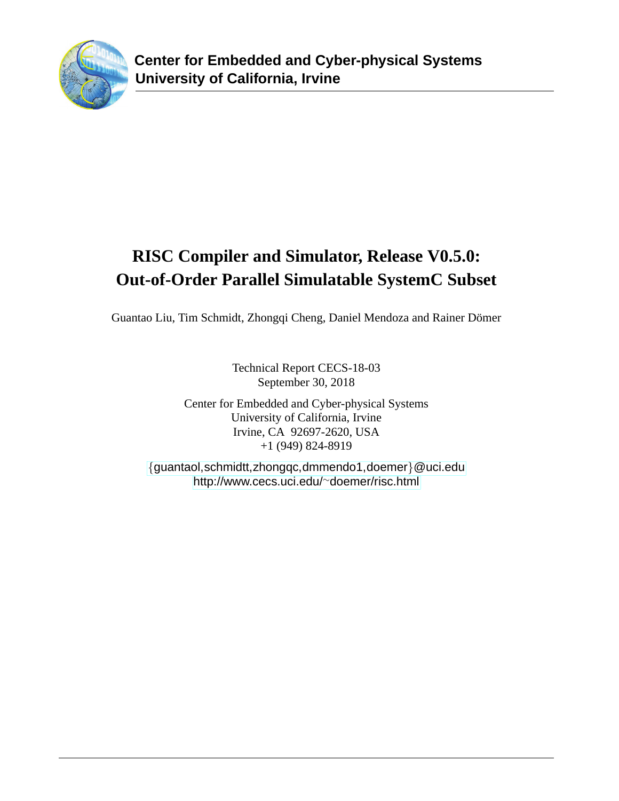

# **RISC Compiler and Simulator, Release V0.5.0: Out-of-Order Parallel Simulatable SystemC Subset**

Guantao Liu, Tim Schmidt, Zhongqi Cheng, Daniel Mendoza and Rainer Dömer

Technical Report CECS-18-03 September 30, 2018

Center for Embedded and Cyber-physical Systems University of California, Irvine Irvine, CA 92697-2620, USA +1 (949) 824-8919

{[guantaol,schmidtt,zhongqc,dmmendo1,doemer]({guantaol, schmidtt, zhongqc, dmmendo1, doemer}@uci.edu)}@uci.edu [http://www.cecs.uci.edu/](http://www.cecs.uci.edu/~doemer/risc.html)∼doemer/risc.html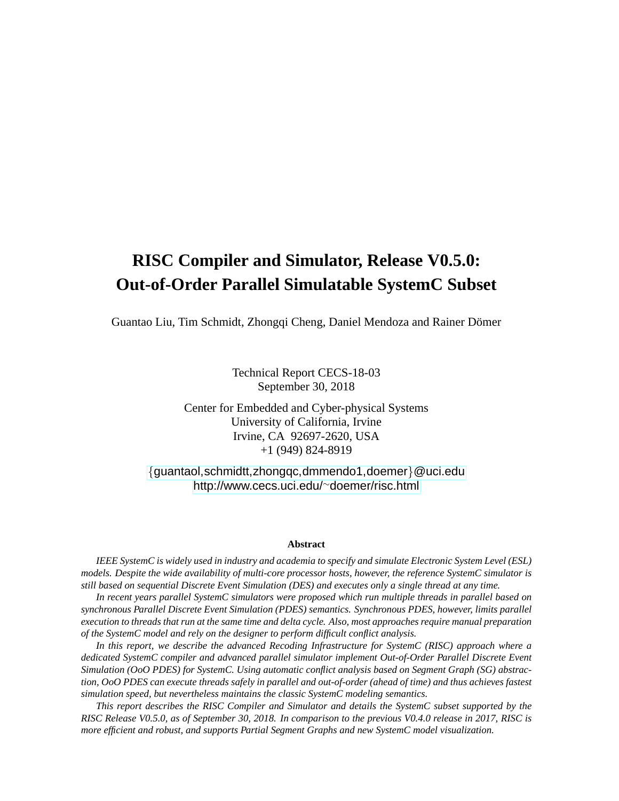# **RISC Compiler and Simulator, Release V0.5.0: Out-of-Order Parallel Simulatable SystemC Subset**

Guantao Liu, Tim Schmidt, Zhongqi Cheng, Daniel Mendoza and Rainer Dömer

Technical Report CECS-18-03 September 30, 2018

Center for Embedded and Cyber-physical Systems University of California, Irvine Irvine, CA 92697-2620, USA +1 (949) 824-8919

{[guantaol,schmidtt,zhongqc,dmmendo1,doemer]({guantaol, schmidtt, zhongqc, dmmendo1, doemer}@uci.edu)}@uci.edu [http://www.cecs.uci.edu/](http://www.cecs.uci.edu/~doemer/risc.html)∼doemer/risc.html

#### **Abstract**

*IEEE SystemC is widely used in industry and academia to specify and simulate Electronic System Level (ESL) models. Despite the wide availability of multi-core processor hosts, however, the reference SystemC simulator is still based on sequential Discrete Event Simulation (DES) and executes only a single thread at any time.*

*In recent years parallel SystemC simulators were proposed which run multiple threads in parallel based on synchronous Parallel Discrete Event Simulation (PDES) semantics. Synchronous PDES, however, limits parallel execution to threads that run at the same time and delta cycle. Also, most approaches require manual preparation of the SystemC model and rely on the designer to perform difficult conflict analysis.*

*In this report, we describe the advanced Recoding Infrastructure for SystemC (RISC) approach where a dedicated SystemC compiler and advanced parallel simulator implement Out-of-Order Parallel Discrete Event Simulation (OoO PDES) for SystemC. Using automatic conflict analysis based on Segment Graph (SG) abstraction, OoO PDES can execute threads safely in parallel and out-of-order (ahead of time) and thus achieves fastest simulation speed, but nevertheless maintains the classic SystemC modeling semantics.*

*This report describes the RISC Compiler and Simulator and details the SystemC subset supported by the RISC Release V0.5.0, as of September 30, 2018. In comparison to the previous V0.4.0 release in 2017, RISC is more efficient and robust, and supports Partial Segment Graphs and new SystemC model visualization.*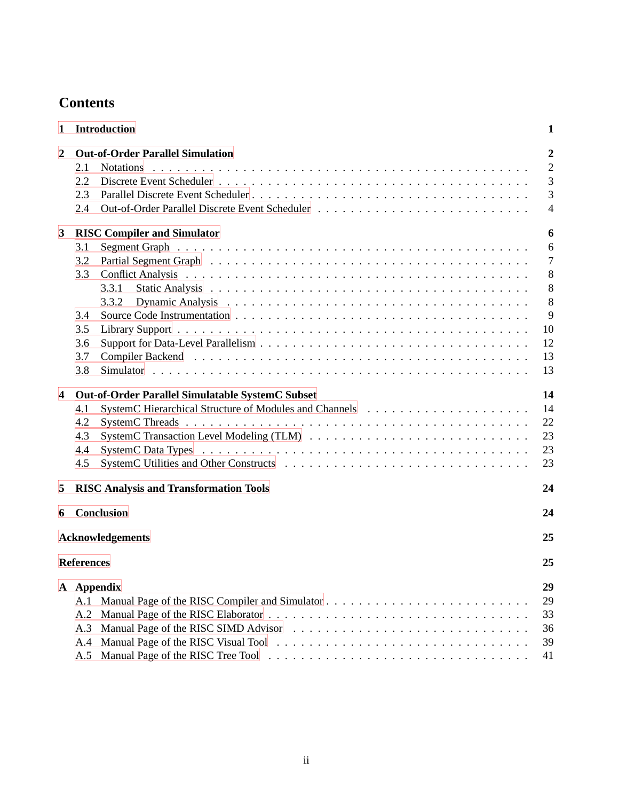# **Contents**

| 1              | Introduction                                                                            | 1                                                            |
|----------------|-----------------------------------------------------------------------------------------|--------------------------------------------------------------|
| $\overline{2}$ | <b>Out-of-Order Parallel Simulation</b><br>2.1<br><b>Notations</b><br>2.2<br>2.3<br>2.4 | $\overline{2}$<br>$\overline{2}$<br>3<br>3<br>$\overline{4}$ |
| 3              | <b>RISC Compiler and Simulator</b>                                                      | 6                                                            |
|                | 3.1                                                                                     | 6                                                            |
|                | 3.2                                                                                     | $\tau$                                                       |
|                | 3.3                                                                                     | 8                                                            |
|                | 3.3.1                                                                                   | 8                                                            |
|                | 3.3.2                                                                                   | 8                                                            |
|                | 3.4                                                                                     | 9                                                            |
|                | 3.5                                                                                     | 10                                                           |
|                | 3.6                                                                                     | 12                                                           |
|                | 3.7                                                                                     | 13                                                           |
|                | 3.8                                                                                     | 13                                                           |
| 4              | <b>Out-of-Order Parallel Simulatable SystemC Subset</b>                                 | 14                                                           |
|                | 4.1                                                                                     | 14                                                           |
|                | 4.2                                                                                     | 22                                                           |
|                | 4.3                                                                                     | 23                                                           |
|                | 4.4                                                                                     | 23                                                           |
|                | 4.5                                                                                     | 23                                                           |
| 5              | <b>RISC Analysis and Transformation Tools</b>                                           | 24                                                           |
| 6              | Conclusion                                                                              | 24                                                           |
|                | <b>Acknowledgements</b>                                                                 | 25                                                           |
|                | <b>References</b>                                                                       | 25                                                           |
|                | A Appendix                                                                              | 29                                                           |
|                | A.1                                                                                     | 29                                                           |
|                | A.2                                                                                     | 33                                                           |
|                | A.3                                                                                     | 36                                                           |
|                | A.4                                                                                     | 39                                                           |
|                | A.5                                                                                     | 41                                                           |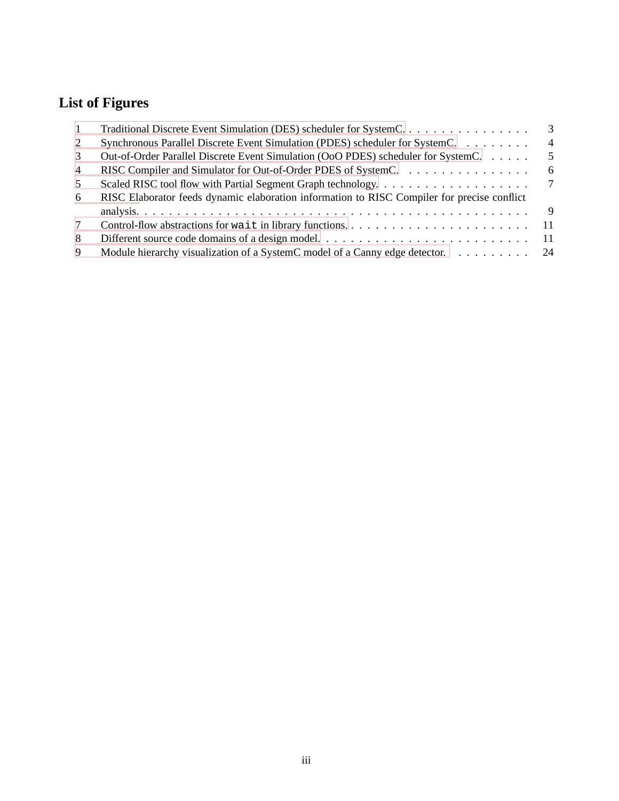# **List of Figures**

| $\overline{1}$ | Traditional Discrete Event Simulation (DES) scheduler for SystemC.                          | 3              |
|----------------|---------------------------------------------------------------------------------------------|----------------|
| 2              | Synchronous Parallel Discrete Event Simulation (PDES) scheduler for System C.               | $\overline{4}$ |
| 3              | Out-of-Order Parallel Discrete Event Simulation (OoO PDES) scheduler for SystemC.           | 5              |
| $\overline{4}$ | RISC Compiler and Simulator for Out-of-Order PDES of SystemC.                               | 6              |
| 5              | Scaled RISC tool flow with Partial Segment Graph technology                                 | 7              |
| 6              | RISC Elaborator feeds dynamic elaboration information to RISC Compiler for precise conflict |                |
|                |                                                                                             |                |
| 7              |                                                                                             |                |
| 8              |                                                                                             |                |
| -9             | Module hierarchy visualization of a SystemC model of a Canny edge detector. 24              |                |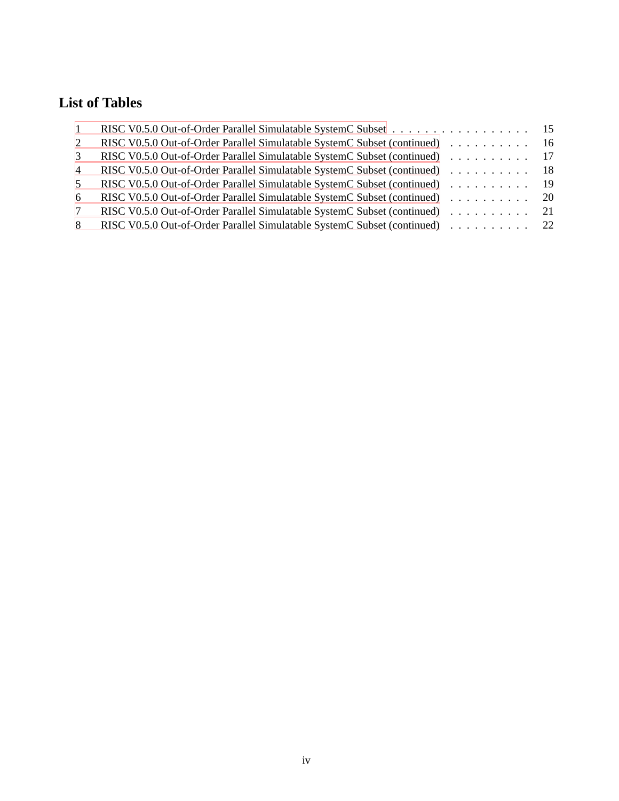# **List of Tables**

| $\overline{1}$ |                                                                             |  |
|----------------|-----------------------------------------------------------------------------|--|
| 2              | RISC V0.5.0 Out-of-Order Parallel Simulatable SystemC Subset (continued) 16 |  |
| $\mathcal{R}$  | RISC V0.5.0 Out-of-Order Parallel Simulatable SystemC Subset (continued) 17 |  |
| $\overline{4}$ | RISC V0.5.0 Out-of-Order Parallel Simulatable SystemC Subset (continued) 18 |  |
| 5.             | RISC V0.5.0 Out-of-Order Parallel Simulatable SystemC Subset (continued) 19 |  |
| 6              | RISC V0.5.0 Out-of-Order Parallel Simulatable SystemC Subset (continued) 20 |  |
|                | RISC V0.5.0 Out-of-Order Parallel Simulatable SystemC Subset (continued) 21 |  |
| 8              | RISC V0.5.0 Out-of-Order Parallel Simulatable SystemC Subset (continued) 22 |  |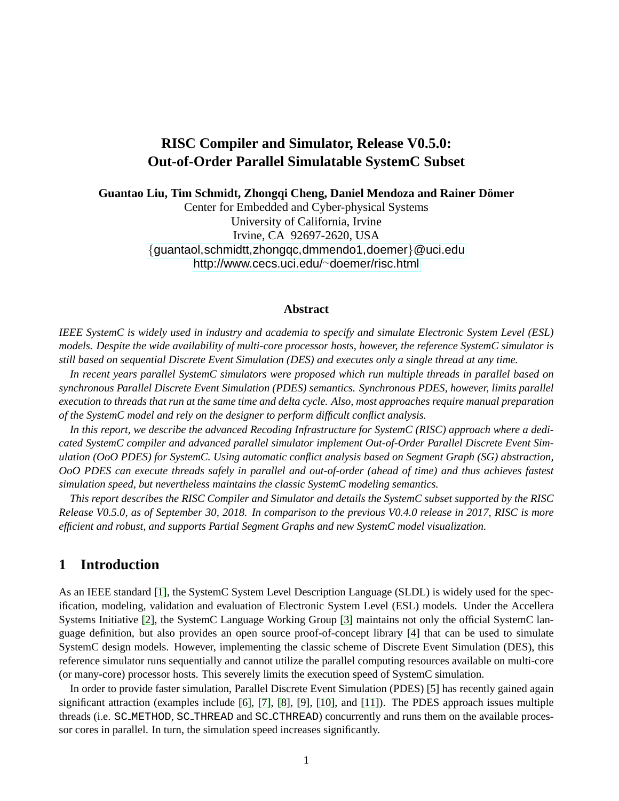# **RISC Compiler and Simulator, Release V0.5.0: Out-of-Order Parallel Simulatable SystemC Subset**

**Guantao Liu, Tim Schmidt, Zhongqi Cheng, Daniel Mendoza and Rainer Domer ¨**

Center for Embedded and Cyber-physical Systems University of California, Irvine Irvine, CA 92697-2620, USA {[guantaol,schmidtt,zhongqc,dmmendo1,doemer]({guantaol, schmidtt, zhongqc, dmmendo1, doemer}@uci.edu)}@uci.edu [http://www.cecs.uci.edu/](http://www.cecs.uci.edu/~doemer/risc.html)∼doemer/risc.html

#### **Abstract**

*IEEE SystemC is widely used in industry and academia to specify and simulate Electronic System Level (ESL) models. Despite the wide availability of multi-core processor hosts, however, the reference SystemC simulator is still based on sequential Discrete Event Simulation (DES) and executes only a single thread at any time.*

*In recent years parallel SystemC simulators were proposed which run multiple threads in parallel based on synchronous Parallel Discrete Event Simulation (PDES) semantics. Synchronous PDES, however, limits parallel execution to threads that run at the same time and delta cycle. Also, most approaches require manual preparation of the SystemC model and rely on the designer to perform difficult conflict analysis.*

*In this report, we describe the advanced Recoding Infrastructure for SystemC (RISC) approach where a dedicated SystemC compiler and advanced parallel simulator implement Out-of-Order Parallel Discrete Event Simulation (OoO PDES) for SystemC. Using automatic conflict analysis based on Segment Graph (SG) abstraction, OoO PDES can execute threads safely in parallel and out-of-order (ahead of time) and thus achieves fastest simulation speed, but nevertheless maintains the classic SystemC modeling semantics.*

*This report describes the RISC Compiler and Simulator and details the SystemC subset supported by the RISC Release V0.5.0, as of September 30, 2018. In comparison to the previous V0.4.0 release in 2017, RISC is more efficient and robust, and supports Partial Segment Graphs and new SystemC model visualization.*

# <span id="page-5-0"></span>**1 Introduction**

As an IEEE standard [\[1\]](#page-29-2), the SystemC System Level Description Language (SLDL) is widely used for the specification, modeling, validation and evaluation of Electronic System Level (ESL) models. Under the Accellera Systems Initiative [\[2\]](#page-29-3), the SystemC Language Working Group [\[3\]](#page-29-4) maintains not only the official SystemC language definition, but also provides an open source proof-of-concept library [\[4\]](#page-29-5) that can be used to simulate SystemC design models. However, implementing the classic scheme of Discrete Event Simulation (DES), this reference simulator runs sequentially and cannot utilize the parallel computing resources available on multi-core (or many-core) processor hosts. This severely limits the execution speed of SystemC simulation.

In order to provide faster simulation, Parallel Discrete Event Simulation (PDES) [\[5\]](#page-29-6) has recently gained again significant attraction (examples include [\[6\]](#page-30-0), [\[7\]](#page-30-1), [\[8\]](#page-30-2), [\[9\]](#page-30-3), [\[10\]](#page-30-4), and [\[11\]](#page-30-5)). The PDES approach issues multiple threads (i.e. SC METHOD, SC THREAD and SC CTHREAD) concurrently and runs them on the available processor cores in parallel. In turn, the simulation speed increases significantly.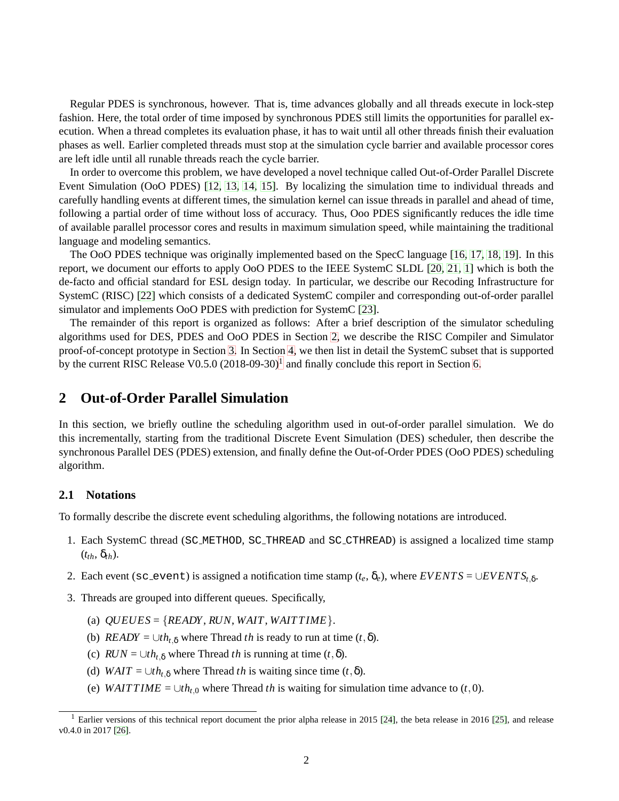Regular PDES is synchronous, however. That is, time advances globally and all threads execute in lock-step fashion. Here, the total order of time imposed by synchronous PDES still limits the opportunities for parallel execution. When a thread completes its evaluation phase, it has to wait until all other threads finish their evaluation phases as well. Earlier completed threads must stop at the simulation cycle barrier and available processor cores are left idle until all runable threads reach the cycle barrier.

In order to overcome this problem, we have developed a novel technique called Out-of-Order Parallel Discrete Event Simulation (OoO PDES) [\[12,](#page-30-6) [13,](#page-30-7) [14,](#page-30-8) [15\]](#page-30-9). By localizing the simulation time to individual threads and carefully handling events at different times, the simulation kernel can issue threads in parallel and ahead of time, following a partial order of time without loss of accuracy. Thus, Ooo PDES significantly reduces the idle time of available parallel processor cores and results in maximum simulation speed, while maintaining the traditional language and modeling semantics.

The OoO PDES technique was originally implemented based on the SpecC language [\[16,](#page-30-10) [17,](#page-30-11) [18,](#page-30-12) [19\]](#page-30-13). In this report, we document our efforts to apply OoO PDES to the IEEE SystemC SLDL [\[20,](#page-30-14) [21,](#page-31-0) [1\]](#page-29-2) which is both the de-facto and official standard for ESL design today. In particular, we describe our Recoding Infrastructure for SystemC (RISC) [\[22\]](#page-31-1) which consists of a dedicated SystemC compiler and corresponding out-of-order parallel simulator and implements OoO PDES with prediction for SystemC [\[23\]](#page-31-2).

The remainder of this report is organized as follows: After a brief description of the simulator scheduling algorithms used for DES, PDES and OoO PDES in Section [2,](#page-6-0) we describe the RISC Compiler and Simulator proof-of-concept prototype in Section [3.](#page-10-0) In Section [4,](#page-18-0) we then list in detail the SystemC subset that is supported by the current RISC Release V0.5.0  $(2018-09-30)^1$  $(2018-09-30)^1$  $(2018-09-30)^1$  and finally conclude this report in Section [6.](#page-28-1)

# <span id="page-6-0"></span>**2 Out-of-Order Parallel Simulation**

In this section, we briefly outline the scheduling algorithm used in out-of-order parallel simulation. We do this incrementally, starting from the traditional Discrete Event Simulation (DES) scheduler, then describe the synchronous Parallel DES (PDES) extension, and finally define the Out-of-Order PDES (OoO PDES) scheduling algorithm.

# <span id="page-6-1"></span>**2.1 Notations**

To formally describe the discrete event scheduling algorithms, the following notations are introduced.

- 1. Each SystemC thread (SC METHOD, SC THREAD and SC CTHREAD) is assigned a localized time stamp  $(t_{th}, \delta_{th})$ .
- 2. Each event (sc\_event) is assigned a notification time stamp ( $t_e$ ,  $\delta_e$ ), where  $EVENTS = \cup EVENTS_{t,\delta}$ .
- 3. Threads are grouped into different queues. Specifically,
	- (a)  $OUEUES = {READY, RUN, WAIT, WAITTIME}$ .
	- (b) *READY* =  $\bigcup th_{t,\delta}$  where Thread *th* is ready to run at time  $(t,\delta)$ .
	- (c)  $RUN = \bigcup th_{t,\delta}$  where Thread *th* is running at time  $(t,\delta)$ .
	- (d) *WAIT* =  $\bigcup th_{t,\delta}$  where Thread *th* is waiting since time  $(t,\delta)$ .
	- (e) *WAITTIME* =  $\bigcup th_{t,0}$  where Thread *th* is waiting for simulation time advance to (*t*, 0).

<span id="page-6-3"></span><span id="page-6-2"></span><sup>&</sup>lt;sup>1</sup> Earlier versions of this technical report document the prior alpha release in 2015 [\[24\]](#page-31-3), the beta release in 2016 [\[25\]](#page-31-4), and release v0.4.0 in 2017 [\[26\]](#page-31-5).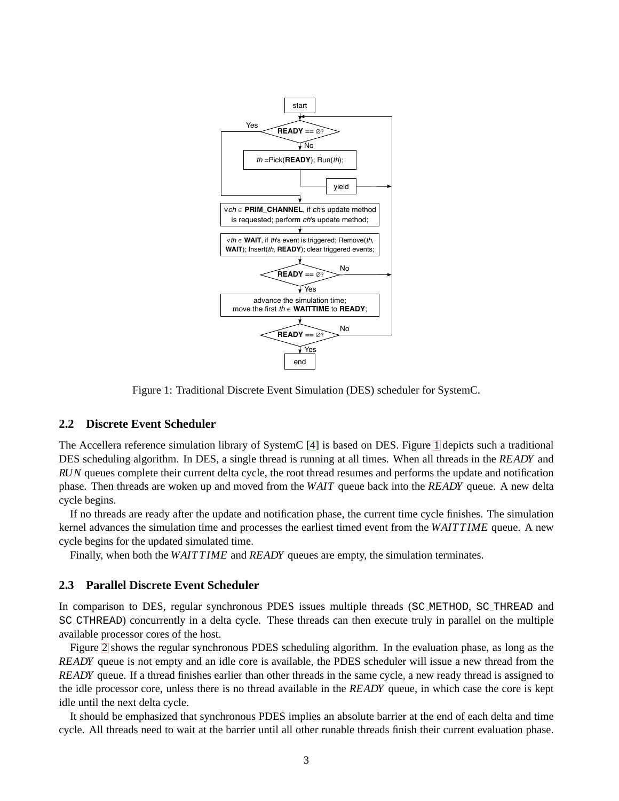

Figure 1: Traditional Discrete Event Simulation (DES) scheduler for SystemC.

#### <span id="page-7-0"></span>**2.2 Discrete Event Scheduler**

The Accellera reference simulation library of SystemC [\[4\]](#page-29-5) is based on DES. Figure [1](#page-6-2) depicts such a traditional DES scheduling algorithm. In DES, a single thread is running at all times. When all threads in the *READY* and *RUN* queues complete their current delta cycle, the root thread resumes and performs the update and notification phase. Then threads are woken up and moved from the *WAIT* queue back into the *READY* queue. A new delta cycle begins.

If no threads are ready after the update and notification phase, the current time cycle finishes. The simulation kernel advances the simulation time and processes the earliest timed event from the *WAIT T IME* queue. A new cycle begins for the updated simulated time.

Finally, when both the *WAITTIME* and *READY* queues are empty, the simulation terminates.

#### <span id="page-7-1"></span>**2.3 Parallel Discrete Event Scheduler**

In comparison to DES, regular synchronous PDES issues multiple threads (SC METHOD, SC THREAD and SC CTHREAD) concurrently in a delta cycle. These threads can then execute truly in parallel on the multiple available processor cores of the host.

Figure [2](#page-7-1) shows the regular synchronous PDES scheduling algorithm. In the evaluation phase, as long as the *READY* queue is not empty and an idle core is available, the PDES scheduler will issue a new thread from the *READY* queue. If a thread finishes earlier than other threads in the same cycle, a new ready thread is assigned to the idle processor core, unless there is no thread available in the *READY* queue, in which case the core is kept idle until the next delta cycle.

It should be emphasized that synchronous PDES implies an absolute barrier at the end of each delta and time cycle. All threads need to wait at the barrier until all other runable threads finish their current evaluation phase.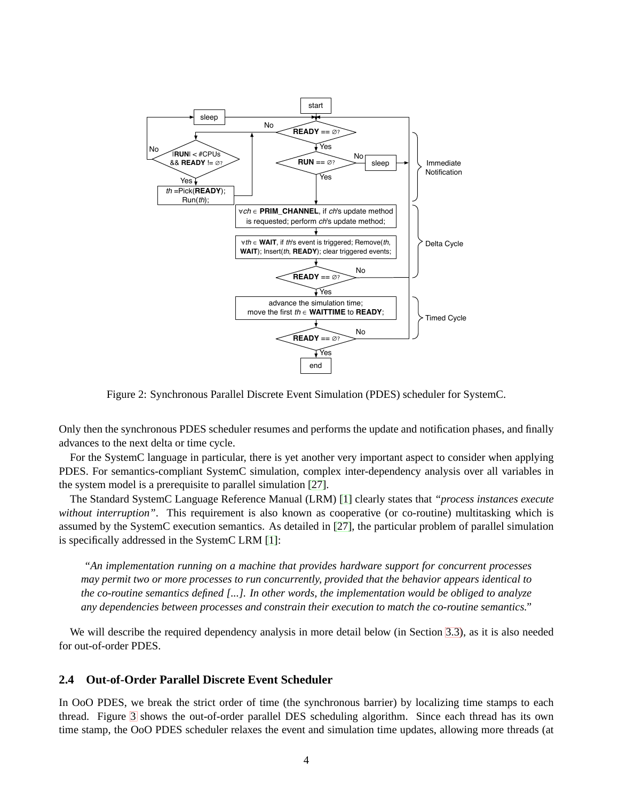

Figure 2: Synchronous Parallel Discrete Event Simulation (PDES) scheduler for SystemC.

Only then the synchronous PDES scheduler resumes and performs the update and notification phases, and finally advances to the next delta or time cycle.

For the SystemC language in particular, there is yet another very important aspect to consider when applying PDES. For semantics-compliant SystemC simulation, complex inter-dependency analysis over all variables in the system model is a prerequisite to parallel simulation [\[27\]](#page-31-6).

The Standard SystemC Language Reference Manual (LRM) [\[1\]](#page-29-2) clearly states that *"process instances execute without interruption"*. This requirement is also known as cooperative (or co-routine) multitasking which is assumed by the SystemC execution semantics. As detailed in [\[27\]](#page-31-6), the particular problem of parallel simulation is specifically addressed in the SystemC LRM [\[1\]](#page-29-2):

*"An implementation running on a machine that provides hardware support for concurrent processes may permit two or more processes to run concurrently, provided that the behavior appears identical to the co-routine semantics defined [...]. In other words, the implementation would be obliged to analyze any dependencies between processes and constrain their execution to match the co-routine semantics."*

We will describe the required dependency analysis in more detail below (in Section [3.3\)](#page-12-0), as it is also needed for out-of-order PDES.

# <span id="page-8-0"></span>**2.4 Out-of-Order Parallel Discrete Event Scheduler**

In OoO PDES, we break the strict order of time (the synchronous barrier) by localizing time stamps to each thread. Figure [3](#page-8-0) shows the out-of-order parallel DES scheduling algorithm. Since each thread has its own time stamp, the OoO PDES scheduler relaxes the event and simulation time updates, allowing more threads (at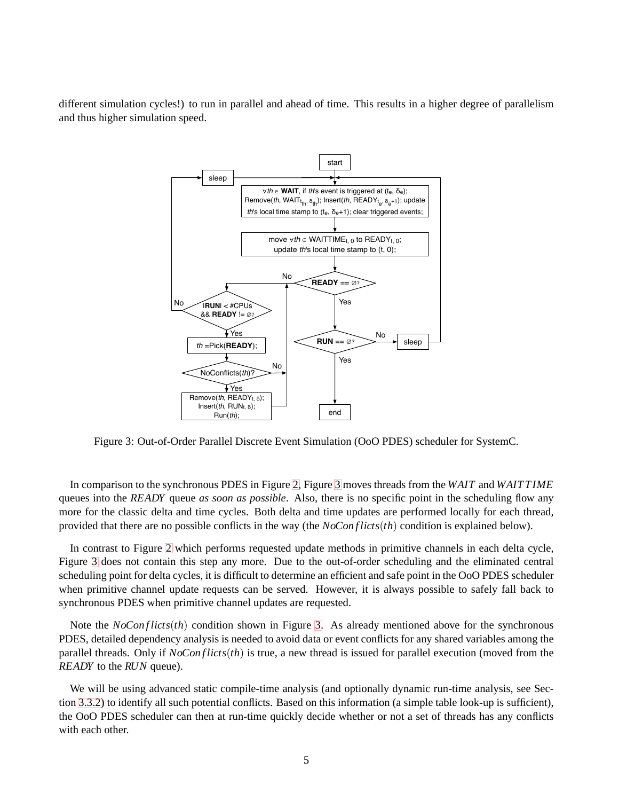different simulation cycles!) to run in parallel and ahead of time. This results in a higher degree of parallelism and thus higher simulation speed.



Figure 3: Out-of-Order Parallel Discrete Event Simulation (OoO PDES) scheduler for SystemC.

In comparison to the synchronous PDES in Figure [2,](#page-7-1) Figure [3](#page-8-0) moves threads from the *WAIT* and *WAIT T IME* queues into the *READY* queue *as soon as possible*. Also, there is no specific point in the scheduling flow any more for the classic delta and time cycles. Both delta and time updates are performed locally for each thread, provided that there are no possible conflicts in the way (the *NoCon f licts*(*th*) condition is explained below).

In contrast to Figure [2](#page-7-1) which performs requested update methods in primitive channels in each delta cycle, Figure [3](#page-8-0) does not contain this step any more. Due to the out-of-order scheduling and the eliminated central scheduling point for delta cycles, it is difficult to determine an efficient and safe point in the OoO PDES scheduler when primitive channel update requests can be served. However, it is always possible to safely fall back to synchronous PDES when primitive channel updates are requested.

Note the *NoConflicts*(*th*) condition shown in Figure [3.](#page-8-0) As already mentioned above for the synchronous PDES, detailed dependency analysis is needed to avoid data or event conflicts for any shared variables among the parallel threads. Only if  $NoConflicts(th)$  is true, a new thread is issued for parallel execution (moved from the *READY* to the *RUN* queue).

We will be using advanced static compile-time analysis (and optionally dynamic run-time analysis, see Section [3.3.2\)](#page-12-2) to identify all such potential conflicts. Based on this information (a simple table look-up is sufficient), the OoO PDES scheduler can then at run-time quickly decide whether or not a set of threads has any conflicts with each other.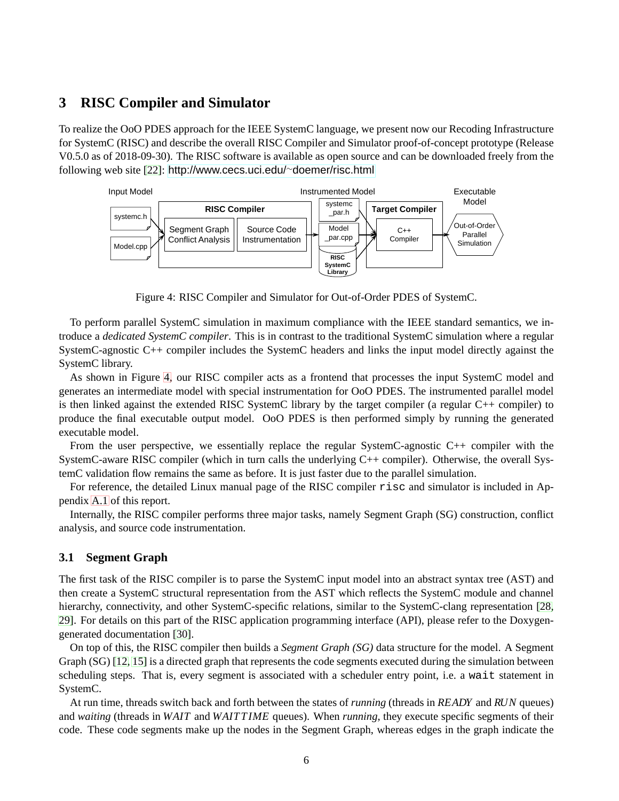# <span id="page-10-0"></span>**3 RISC Compiler and Simulator**

To realize the OoO PDES approach for the IEEE SystemC language, we present now our Recoding Infrastructure for SystemC (RISC) and describe the overall RISC Compiler and Simulator proof-of-concept prototype (Release V0.5.0 as of 2018-09-30). The RISC software is available as open source and can be downloaded freely from the following web site [\[22\]](#page-31-1): [http://www.cecs.uci.edu/](http://www.cecs.uci.edu/~doemer/risc.html)∼doemer/risc.html



Figure 4: RISC Compiler and Simulator for Out-of-Order PDES of SystemC.

To perform parallel SystemC simulation in maximum compliance with the IEEE standard semantics, we introduce a *dedicated SystemC compiler*. This is in contrast to the traditional SystemC simulation where a regular SystemC-agnostic C++ compiler includes the SystemC headers and links the input model directly against the SystemC library.

As shown in Figure [4,](#page-10-0) our RISC compiler acts as a frontend that processes the input SystemC model and generates an intermediate model with special instrumentation for OoO PDES. The instrumented parallel model is then linked against the extended RISC SystemC library by the target compiler (a regular C++ compiler) to produce the final executable output model. OoO PDES is then performed simply by running the generated executable model.

From the user perspective, we essentially replace the regular SystemC-agnostic C++ compiler with the SystemC-aware RISC compiler (which in turn calls the underlying C++ compiler). Otherwise, the overall SystemC validation flow remains the same as before. It is just faster due to the parallel simulation.

For reference, the detailed Linux manual page of the RISC compiler risc and simulator is included in Appendix [A.1](#page-33-1) of this report.

Internally, the RISC compiler performs three major tasks, namely Segment Graph (SG) construction, conflict analysis, and source code instrumentation.

# <span id="page-10-1"></span>**3.1 Segment Graph**

The first task of the RISC compiler is to parse the SystemC input model into an abstract syntax tree (AST) and then create a SystemC structural representation from the AST which reflects the SystemC module and channel hierarchy, connectivity, and other SystemC-specific relations, similar to the SystemC-clang representation [\[28,](#page-31-7) [29\]](#page-31-8). For details on this part of the RISC application programming interface (API), please refer to the Doxygengenerated documentation [\[30\]](#page-31-9).

On top of this, the RISC compiler then builds a *Segment Graph (SG)* data structure for the model. A Segment Graph (SG) [\[12,](#page-30-6) [15\]](#page-30-9) is a directed graph that represents the code segments executed during the simulation between scheduling steps. That is, every segment is associated with a scheduler entry point, i.e. a wait statement in SystemC.

At run time, threads switch back and forth between the states of *running* (threads in *READY* and *RUN* queues) and *waiting* (threads in *WAIT* and *WAIT T IME* queues). When *running*, they execute specific segments of their code. These code segments make up the nodes in the Segment Graph, whereas edges in the graph indicate the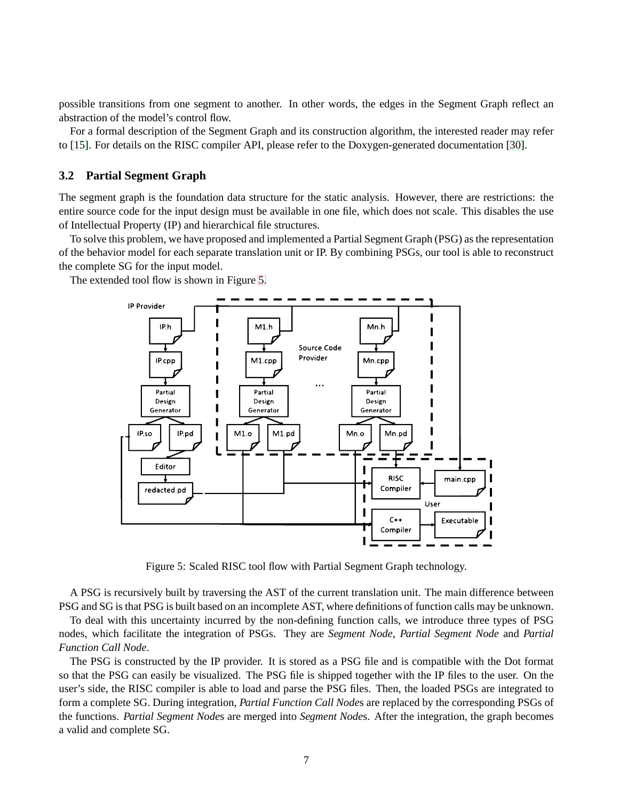possible transitions from one segment to another. In other words, the edges in the Segment Graph reflect an abstraction of the model's control flow.

For a formal description of the Segment Graph and its construction algorithm, the interested reader may refer to [\[15\]](#page-30-9). For details on the RISC compiler API, please refer to the Doxygen-generated documentation [\[30\]](#page-31-9).

#### <span id="page-11-0"></span>**3.2 Partial Segment Graph**

The segment graph is the foundation data structure for the static analysis. However, there are restrictions: the entire source code for the input design must be available in one file, which does not scale. This disables the use of Intellectual Property (IP) and hierarchical file structures.

To solve this problem, we have proposed and implemented a Partial Segment Graph (PSG) as the representation of the behavior model for each separate translation unit or IP. By combining PSGs, our tool is able to reconstruct the complete SG for the input model.

The extended tool flow is shown in Figure [5.](#page-11-0)



Figure 5: Scaled RISC tool flow with Partial Segment Graph technology.

A PSG is recursively built by traversing the AST of the current translation unit. The main difference between PSG and SG is that PSG is built based on an incomplete AST, where definitions of function calls may be unknown.

To deal with this uncertainty incurred by the non-defining function calls, we introduce three types of PSG nodes, which facilitate the integration of PSGs. They are *Segment Node*, *Partial Segment Node* and *Partial Function Call Node*.

The PSG is constructed by the IP provider. It is stored as a PSG file and is compatible with the Dot format so that the PSG can easily be visualized. The PSG file is shipped together with the IP files to the user. On the user's side, the RISC compiler is able to load and parse the PSG files. Then, the loaded PSGs are integrated to form a complete SG. During integration, *Partial Function Call Node*s are replaced by the corresponding PSGs of the functions. *Partial Segment Node*s are merged into *Segment Node*s. After the integration, the graph becomes a valid and complete SG.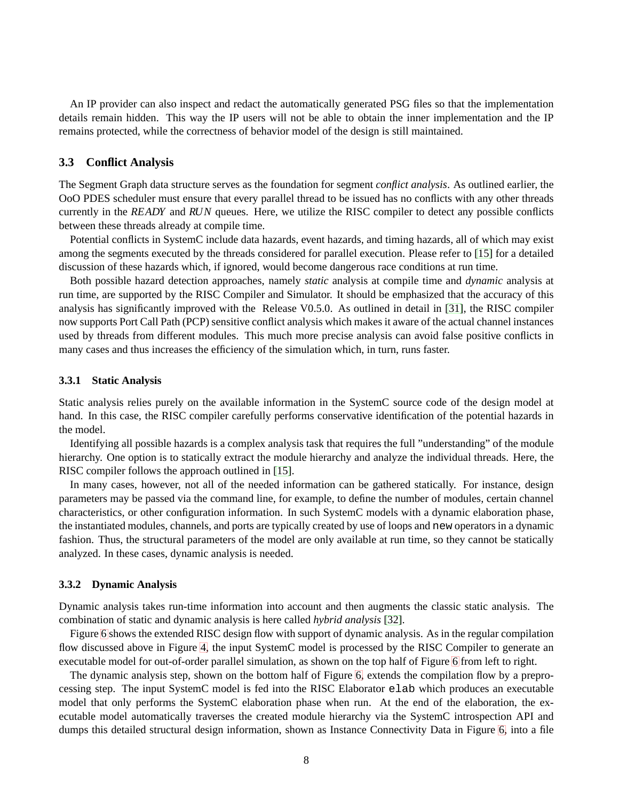An IP provider can also inspect and redact the automatically generated PSG files so that the implementation details remain hidden. This way the IP users will not be able to obtain the inner implementation and the IP remains protected, while the correctness of behavior model of the design is still maintained.

#### <span id="page-12-0"></span>**3.3 Conflict Analysis**

The Segment Graph data structure serves as the foundation for segment *conflict analysis*. As outlined earlier, the OoO PDES scheduler must ensure that every parallel thread to be issued has no conflicts with any other threads currently in the *READY* and *RUN* queues. Here, we utilize the RISC compiler to detect any possible conflicts between these threads already at compile time.

Potential conflicts in SystemC include data hazards, event hazards, and timing hazards, all of which may exist among the segments executed by the threads considered for parallel execution. Please refer to [\[15\]](#page-30-9) for a detailed discussion of these hazards which, if ignored, would become dangerous race conditions at run time.

Both possible hazard detection approaches, namely *static* analysis at compile time and *dynamic* analysis at run time, are supported by the RISC Compiler and Simulator. It should be emphasized that the accuracy of this analysis has significantly improved with the Release V0.5.0. As outlined in detail in [\[31\]](#page-31-10), the RISC compiler now supports Port Call Path (PCP) sensitive conflict analysis which makes it aware of the actual channel instances used by threads from different modules. This much more precise analysis can avoid false positive conflicts in many cases and thus increases the efficiency of the simulation which, in turn, runs faster.

#### <span id="page-12-1"></span>**3.3.1 Static Analysis**

Static analysis relies purely on the available information in the SystemC source code of the design model at hand. In this case, the RISC compiler carefully performs conservative identification of the potential hazards in the model.

Identifying all possible hazards is a complex analysis task that requires the full "understanding" of the module hierarchy. One option is to statically extract the module hierarchy and analyze the individual threads. Here, the RISC compiler follows the approach outlined in [\[15\]](#page-30-9).

In many cases, however, not all of the needed information can be gathered statically. For instance, design parameters may be passed via the command line, for example, to define the number of modules, certain channel characteristics, or other configuration information. In such SystemC models with a dynamic elaboration phase, the instantiated modules, channels, and ports are typically created by use of loops and new operators in a dynamic fashion. Thus, the structural parameters of the model are only available at run time, so they cannot be statically analyzed. In these cases, dynamic analysis is needed.

#### <span id="page-12-2"></span>**3.3.2 Dynamic Analysis**

Dynamic analysis takes run-time information into account and then augments the classic static analysis. The combination of static and dynamic analysis is here called *hybrid analysis* [\[32\]](#page-31-11).

Figure [6](#page-12-2) shows the extended RISC design flow with support of dynamic analysis. As in the regular compilation flow discussed above in Figure [4,](#page-10-0) the input SystemC model is processed by the RISC Compiler to generate an executable model for out-of-order parallel simulation, as shown on the top half of Figure [6](#page-12-2) from left to right.

The dynamic analysis step, shown on the bottom half of Figure [6,](#page-12-2) extends the compilation flow by a preprocessing step. The input SystemC model is fed into the RISC Elaborator elab which produces an executable model that only performs the SystemC elaboration phase when run. At the end of the elaboration, the executable model automatically traverses the created module hierarchy via the SystemC introspection API and dumps this detailed structural design information, shown as Instance Connectivity Data in Figure [6,](#page-12-2) into a file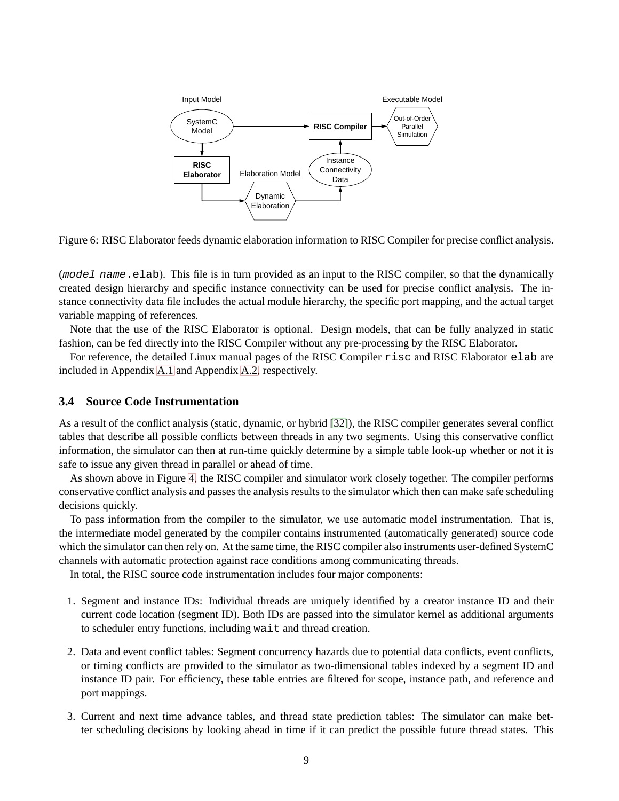

Figure 6: RISC Elaborator feeds dynamic elaboration information to RISC Compiler for precise conflict analysis.

(mode *l\_name*.elab). This file is in turn provided as an input to the RISC compiler, so that the dynamically created design hierarchy and specific instance connectivity can be used for precise conflict analysis. The instance connectivity data file includes the actual module hierarchy, the specific port mapping, and the actual target variable mapping of references.

Note that the use of the RISC Elaborator is optional. Design models, that can be fully analyzed in static fashion, can be fed directly into the RISC Compiler without any pre-processing by the RISC Elaborator.

For reference, the detailed Linux manual pages of the RISC Compiler risc and RISC Elaborator elab are included in Appendix [A.1](#page-33-1) and Appendix [A.2,](#page-37-0) respectively.

# <span id="page-13-0"></span>**3.4 Source Code Instrumentation**

As a result of the conflict analysis (static, dynamic, or hybrid [\[32\]](#page-31-11)), the RISC compiler generates several conflict tables that describe all possible conflicts between threads in any two segments. Using this conservative conflict information, the simulator can then at run-time quickly determine by a simple table look-up whether or not it is safe to issue any given thread in parallel or ahead of time.

As shown above in Figure [4,](#page-10-0) the RISC compiler and simulator work closely together. The compiler performs conservative conflict analysis and passes the analysis results to the simulator which then can make safe scheduling decisions quickly.

To pass information from the compiler to the simulator, we use automatic model instrumentation. That is, the intermediate model generated by the compiler contains instrumented (automatically generated) source code which the simulator can then rely on. At the same time, the RISC compiler also instruments user-defined SystemC channels with automatic protection against race conditions among communicating threads.

In total, the RISC source code instrumentation includes four major components:

- 1. Segment and instance IDs: Individual threads are uniquely identified by a creator instance ID and their current code location (segment ID). Both IDs are passed into the simulator kernel as additional arguments to scheduler entry functions, including wait and thread creation.
- 2. Data and event conflict tables: Segment concurrency hazards due to potential data conflicts, event conflicts, or timing conflicts are provided to the simulator as two-dimensional tables indexed by a segment ID and instance ID pair. For efficiency, these table entries are filtered for scope, instance path, and reference and port mappings.
- 3. Current and next time advance tables, and thread state prediction tables: The simulator can make better scheduling decisions by looking ahead in time if it can predict the possible future thread states. This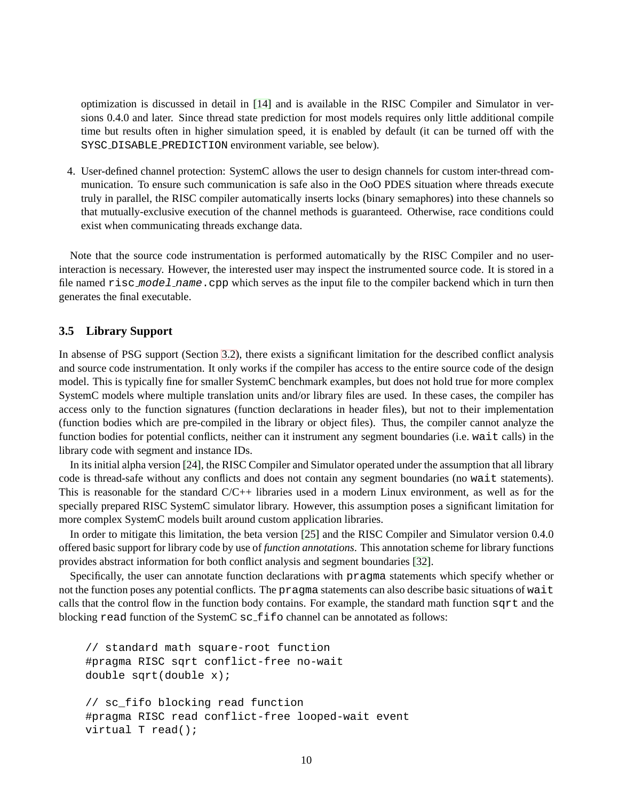optimization is discussed in detail in [\[14\]](#page-30-8) and is available in the RISC Compiler and Simulator in versions 0.4.0 and later. Since thread state prediction for most models requires only little additional compile time but results often in higher simulation speed, it is enabled by default (it can be turned off with the SYSC DISABLE PREDICTION environment variable, see below).

4. User-defined channel protection: SystemC allows the user to design channels for custom inter-thread communication. To ensure such communication is safe also in the OoO PDES situation where threads execute truly in parallel, the RISC compiler automatically inserts locks (binary semaphores) into these channels so that mutually-exclusive execution of the channel methods is guaranteed. Otherwise, race conditions could exist when communicating threads exchange data.

Note that the source code instrumentation is performed automatically by the RISC Compiler and no userinteraction is necessary. However, the interested user may inspect the instrumented source code. It is stored in a file named risc\_model\_name.cpp which serves as the input file to the compiler backend which in turn then generates the final executable.

#### <span id="page-14-0"></span>**3.5 Library Support**

In absense of PSG support (Section [3.2\)](#page-11-0), there exists a significant limitation for the described conflict analysis and source code instrumentation. It only works if the compiler has access to the entire source code of the design model. This is typically fine for smaller SystemC benchmark examples, but does not hold true for more complex SystemC models where multiple translation units and/or library files are used. In these cases, the compiler has access only to the function signatures (function declarations in header files), but not to their implementation (function bodies which are pre-compiled in the library or object files). Thus, the compiler cannot analyze the function bodies for potential conflicts, neither can it instrument any segment boundaries (i.e. wait calls) in the library code with segment and instance IDs.

In its initial alpha version [\[24\]](#page-31-3), the RISC Compiler and Simulator operated under the assumption that all library code is thread-safe without any conflicts and does not contain any segment boundaries (no wait statements). This is reasonable for the standard  $C/C++$  libraries used in a modern Linux environment, as well as for the specially prepared RISC SystemC simulator library. However, this assumption poses a significant limitation for more complex SystemC models built around custom application libraries.

In order to mitigate this limitation, the beta version [\[25\]](#page-31-4) and the RISC Compiler and Simulator version 0.4.0 offered basic support for library code by use of *function annotations*. This annotation scheme for library functions provides abstract information for both conflict analysis and segment boundaries [\[32\]](#page-31-11).

Specifically, the user can annotate function declarations with pragma statements which specify whether or not the function poses any potential conflicts. The pragma statements can also describe basic situations of wait calls that the control flow in the function body contains. For example, the standard math function sqrt and the blocking read function of the SystemC sc<sub>-fifo</sub> channel can be annotated as follows:

```
// standard math square-root function
#pragma RISC sqrt conflict-free no-wait
double sqrt(double x);
// sc_fifo blocking read function
#pragma RISC read conflict-free looped-wait event
virtual T read();
```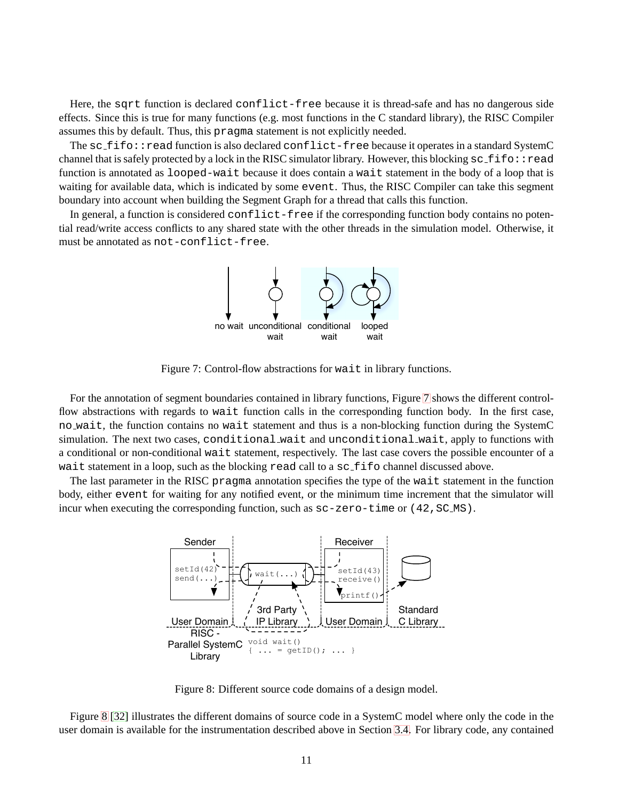Here, the sqrt function is declared conflict-free because it is thread-safe and has no dangerous side effects. Since this is true for many functions (e.g. most functions in the C standard library), the RISC Compiler assumes this by default. Thus, this pragma statement is not explicitly needed.

The sc\_fifo::read function is also declared conflict-free because it operates in a standard SystemC channel that is safely protected by a lock in the RISC simulator library. However, this blocking  $sc_f$  fifo::read function is annotated as looped-wait because it does contain a wait statement in the body of a loop that is waiting for available data, which is indicated by some event. Thus, the RISC Compiler can take this segment boundary into account when building the Segment Graph for a thread that calls this function.

In general, a function is considered  $conflict-free$  if the corresponding function body contains no potential read/write access conflicts to any shared state with the other threads in the simulation model. Otherwise, it must be annotated as not-conflict-free.



Figure 7: Control-flow abstractions for wait in library functions.

For the annotation of segment boundaries contained in library functions, Figure [7](#page-14-0) shows the different controlflow abstractions with regards to wait function calls in the corresponding function body. In the first case, no wait, the function contains no wait statement and thus is a non-blocking function during the SystemC simulation. The next two cases, conditional wait and unconditional wait, apply to functions with a conditional or non-conditional wait statement, respectively. The last case covers the possible encounter of a wait statement in a loop, such as the blocking read call to a sc\_fifo channel discussed above.

The last parameter in the RISC pragma annotation specifies the type of the wait statement in the function body, either event for waiting for any notified event, or the minimum time increment that the simulator will incur when executing the corresponding function, such as  $sc$ -zero-time or (42, SC\_MS).



Figure 8: Different source code domains of a design model.

Figure [8](#page-14-0) [\[32\]](#page-31-11) illustrates the different domains of source code in a SystemC model where only the code in the user domain is available for the instrumentation described above in Section [3.4.](#page-13-0) For library code, any contained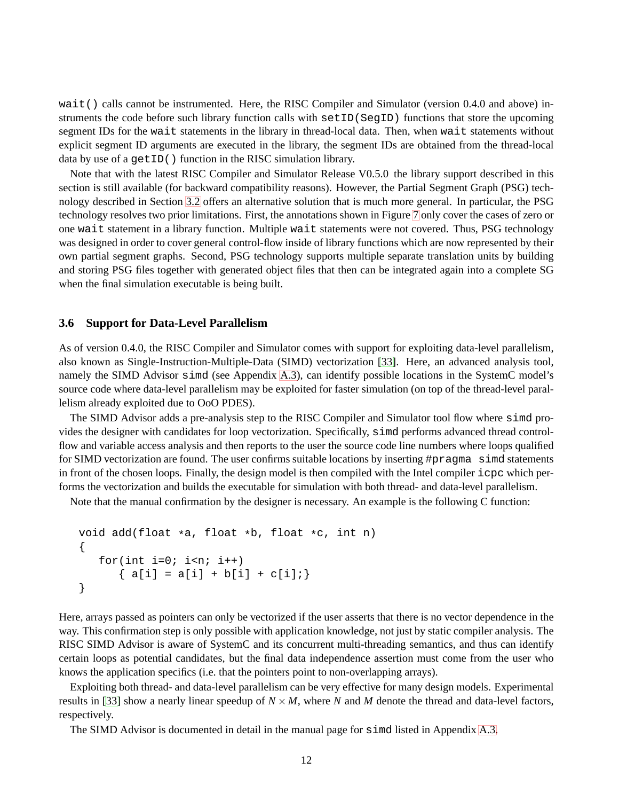wait() calls cannot be instrumented. Here, the RISC Compiler and Simulator (version 0.4.0 and above) instruments the code before such library function calls with setID(SegID) functions that store the upcoming segment IDs for the wait statements in the library in thread-local data. Then, when wait statements without explicit segment ID arguments are executed in the library, the segment IDs are obtained from the thread-local data by use of a getID() function in the RISC simulation library.

Note that with the latest RISC Compiler and Simulator Release V0.5.0 the library support described in this section is still available (for backward compatibility reasons). However, the Partial Segment Graph (PSG) technology described in Section [3.2](#page-11-0) offers an alternative solution that is much more general. In particular, the PSG technology resolves two prior limitations. First, the annotations shown in Figure [7](#page-14-0) only cover the cases of zero or one wait statement in a library function. Multiple wait statements were not covered. Thus, PSG technology was designed in order to cover general control-flow inside of library functions which are now represented by their own partial segment graphs. Second, PSG technology supports multiple separate translation units by building and storing PSG files together with generated object files that then can be integrated again into a complete SG when the final simulation executable is being built.

#### <span id="page-16-0"></span>**3.6 Support for Data-Level Parallelism**

As of version 0.4.0, the RISC Compiler and Simulator comes with support for exploiting data-level parallelism, also known as Single-Instruction-Multiple-Data (SIMD) vectorization [\[33\]](#page-31-12). Here, an advanced analysis tool, namely the SIMD Advisor simd (see Appendix [A.3\)](#page-40-0), can identify possible locations in the SystemC model's source code where data-level parallelism may be exploited for faster simulation (on top of the thread-level parallelism already exploited due to OoO PDES).

The SIMD Advisor adds a pre-analysis step to the RISC Compiler and Simulator tool flow where simd provides the designer with candidates for loop vectorization. Specifically, simd performs advanced thread controlflow and variable access analysis and then reports to the user the source code line numbers where loops qualified for SIMD vectorization are found. The user confirms suitable locations by inserting #pragma simd statements in front of the chosen loops. Finally, the design model is then compiled with the Intel compiler icpc which performs the vectorization and builds the executable for simulation with both thread- and data-level parallelism.

Note that the manual confirmation by the designer is necessary. An example is the following C function:

```
void add(float *a, float *b, float *c, int n)
{
   for(int i=0; i<n; i++)
      { a[i] = a[i] + b[i] + c[i] }}
```
Here, arrays passed as pointers can only be vectorized if the user asserts that there is no vector dependence in the way. This confirmation step is only possible with application knowledge, not just by static compiler analysis. The RISC SIMD Advisor is aware of SystemC and its concurrent multi-threading semantics, and thus can identify certain loops as potential candidates, but the final data independence assertion must come from the user who knows the application specifics (i.e. that the pointers point to non-overlapping arrays).

Exploiting both thread- and data-level parallelism can be very effective for many design models. Experimental results in [\[33\]](#page-31-12) show a nearly linear speedup of  $N \times M$ , where *N* and *M* denote the thread and data-level factors, respectively.

The SIMD Advisor is documented in detail in the manual page for simd listed in Appendix [A.3.](#page-40-0)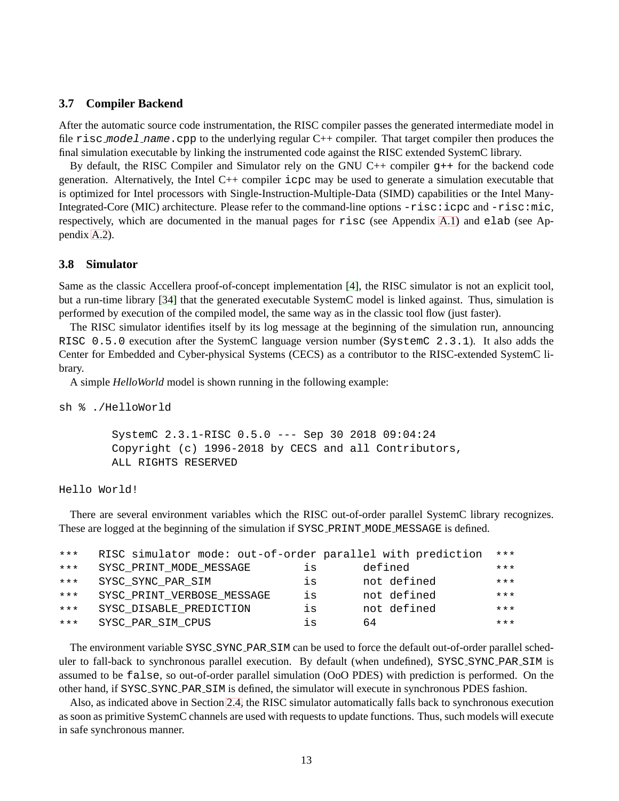#### <span id="page-17-0"></span>**3.7 Compiler Backend**

After the automatic source code instrumentation, the RISC compiler passes the generated intermediate model in file risc model name.cpp to the underlying regular C++ compiler. That target compiler then produces the final simulation executable by linking the instrumented code against the RISC extended SystemC library.

By default, the RISC Compiler and Simulator rely on the GNU C++ compiler g++ for the backend code generation. Alternatively, the Intel C++ compiler icpc may be used to generate a simulation executable that is optimized for Intel processors with Single-Instruction-Multiple-Data (SIMD) capabilities or the Intel Many-Integrated-Core (MIC) architecture. Please refer to the command-line options  $-risc:icpc$  and  $-risc:mic$ , respectively, which are documented in the manual pages for risc (see Appendix [A.1\)](#page-33-1) and elab (see Appendix [A.2\)](#page-37-0).

#### <span id="page-17-1"></span>**3.8 Simulator**

Same as the classic Accellera proof-of-concept implementation [\[4\]](#page-29-5), the RISC simulator is not an explicit tool, but a run-time library [\[34\]](#page-31-13) that the generated executable SystemC model is linked against. Thus, simulation is performed by execution of the compiled model, the same way as in the classic tool flow (just faster).

The RISC simulator identifies itself by its log message at the beginning of the simulation run, announcing RISC 0.5.0 execution after the SystemC language version number (SystemC 2.3.1). It also adds the Center for Embedded and Cyber-physical Systems (CECS) as a contributor to the RISC-extended SystemC library.

A simple *HelloWorld* model is shown running in the following example:

sh % ./HelloWorld

SystemC 2.3.1-RISC 0.5.0 --- Sep 30 2018 09:04:24 Copyright (c) 1996-2018 by CECS and all Contributors, ALL RIGHTS RESERVED

Hello World!

There are several environment variables which the RISC out-of-order parallel SystemC library recognizes. These are logged at the beginning of the simulation if SYSC PRINT MODE MESSAGE is defined.

| $***$ | RISC simulator mode: out-of-order parallel with prediction |    |             | $***$ |
|-------|------------------------------------------------------------|----|-------------|-------|
| $***$ | SYSC_PRINT_MODE_MESSAGE                                    | is | defined     | $***$ |
| $***$ | SYSC SYNC PAR SIM                                          | is | not defined | $***$ |
| $***$ | SYSC PRINT VERBOSE MESSAGE                                 | is | not defined | $***$ |
| $***$ | SYSC DISABLE PREDICTION                                    | is | not defined | $***$ |
| $***$ | SYSC PAR SIM CPUS                                          | is | 64          | $***$ |

The environment variable SYSC\_SYNC\_PAR\_SIM can be used to force the default out-of-order parallel scheduler to fall-back to synchronous parallel execution. By default (when undefined), SYSC\_SYNC\_PAR\_SIM is assumed to be false, so out-of-order parallel simulation (OoO PDES) with prediction is performed. On the other hand, if SYSC SYNC PAR SIM is defined, the simulator will execute in synchronous PDES fashion.

Also, as indicated above in Section [2.4,](#page-8-0) the RISC simulator automatically falls back to synchronous execution as soon as primitive SystemC channels are used with requests to update functions. Thus, such models will execute in safe synchronous manner.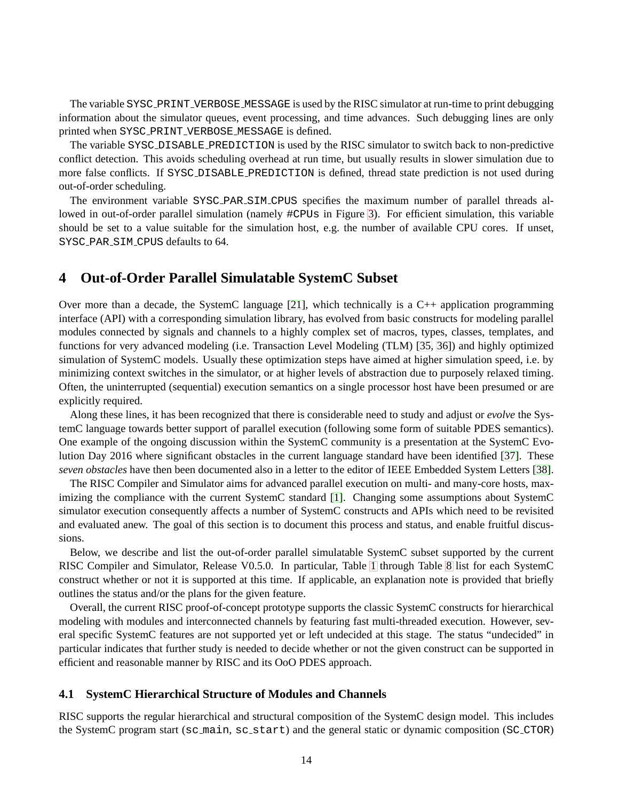The variable SYSC PRINT VERBOSE MESSAGE is used by the RISC simulator at run-time to print debugging information about the simulator queues, event processing, and time advances. Such debugging lines are only printed when SYSC PRINT VERBOSE MESSAGE is defined.

The variable SYSC DISABLE PREDICTION is used by the RISC simulator to switch back to non-predictive conflict detection. This avoids scheduling overhead at run time, but usually results in slower simulation due to more false conflicts. If SYSC DISABLE PREDICTION is defined, thread state prediction is not used during out-of-order scheduling.

The environment variable SYSC PAR SIM CPUS specifies the maximum number of parallel threads allowed in out-of-order parallel simulation (namely  $\#CPUs$  in Figure [3\)](#page-8-0). For efficient simulation, this variable should be set to a value suitable for the simulation host, e.g. the number of available CPU cores. If unset, SYSC PAR SIM CPUS defaults to 64.

# <span id="page-18-0"></span>**4 Out-of-Order Parallel Simulatable SystemC Subset**

Over more than a decade, the SystemC language [\[21\]](#page-31-0), which technically is a  $C_{++}$  application programming interface (API) with a corresponding simulation library, has evolved from basic constructs for modeling parallel modules connected by signals and channels to a highly complex set of macros, types, classes, templates, and functions for very advanced modeling (i.e. Transaction Level Modeling (TLM) [\[35,](#page-31-14) [36\]](#page-32-0)) and highly optimized simulation of SystemC models. Usually these optimization steps have aimed at higher simulation speed, i.e. by minimizing context switches in the simulator, or at higher levels of abstraction due to purposely relaxed timing. Often, the uninterrupted (sequential) execution semantics on a single processor host have been presumed or are explicitly required.

Along these lines, it has been recognized that there is considerable need to study and adjust or *evolve* the SystemC language towards better support of parallel execution (following some form of suitable PDES semantics). One example of the ongoing discussion within the SystemC community is a presentation at the SystemC Evolution Day 2016 where significant obstacles in the current language standard have been identified [\[37\]](#page-32-1). These *seven obstacles* have then been documented also in a letter to the editor of IEEE Embedded System Letters [\[38\]](#page-32-2).

The RISC Compiler and Simulator aims for advanced parallel execution on multi- and many-core hosts, maximizing the compliance with the current SystemC standard [\[1\]](#page-29-2). Changing some assumptions about SystemC simulator execution consequently affects a number of SystemC constructs and APIs which need to be revisited and evaluated anew. The goal of this section is to document this process and status, and enable fruitful discussions.

Below, we describe and list the out-of-order parallel simulatable SystemC subset supported by the current RISC Compiler and Simulator, Release V0.5.0. In particular, Table [1](#page-18-0) through Table [8](#page-18-0) list for each SystemC construct whether or not it is supported at this time. If applicable, an explanation note is provided that briefly outlines the status and/or the plans for the given feature.

Overall, the current RISC proof-of-concept prototype supports the classic SystemC constructs for hierarchical modeling with modules and interconnected channels by featuring fast multi-threaded execution. However, several specific SystemC features are not supported yet or left undecided at this stage. The status "undecided" in particular indicates that further study is needed to decide whether or not the given construct can be supported in efficient and reasonable manner by RISC and its OoO PDES approach.

#### <span id="page-18-1"></span>**4.1 SystemC Hierarchical Structure of Modules and Channels**

RISC supports the regular hierarchical and structural composition of the SystemC design model. This includes the SystemC program start (sc main, sc start) and the general static or dynamic composition (SC CTOR)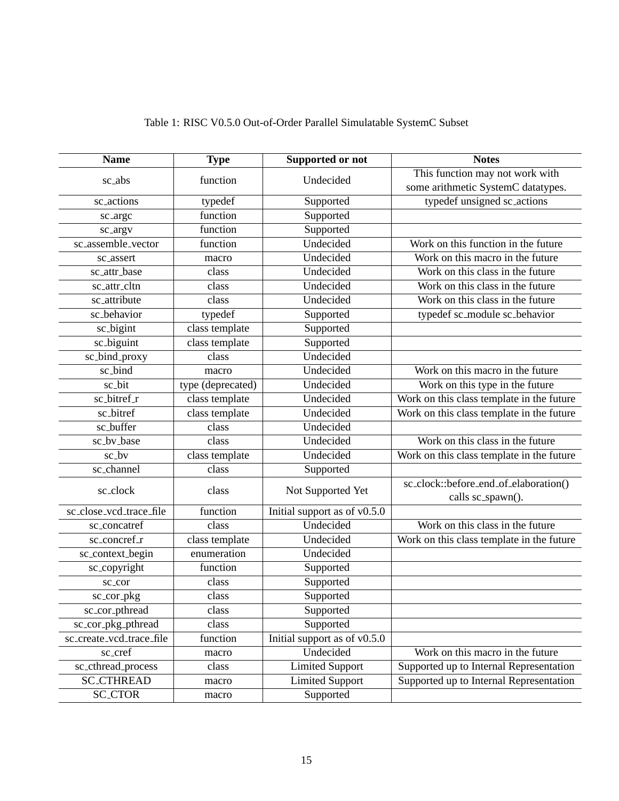| <b>Name</b>              | <b>Type</b>       | <b>Supported or not</b>      | <b>Notes</b>                              |
|--------------------------|-------------------|------------------------------|-------------------------------------------|
|                          | function          | Undecided                    | This function may not work with           |
| sc_abs                   |                   |                              | some arithmetic SystemC datatypes.        |
| sc_actions               | typedef           | Supported                    | typedef unsigned sc_actions               |
| sc_argc                  | function          | Supported                    |                                           |
| sc_argv                  | function          | Supported                    |                                           |
| sc_assemble_vector       | function          | Undecided                    | Work on this function in the future       |
| sc assert                | macro             | Undecided                    | Work on this macro in the future          |
| sc_attr_base             | class             | Undecided                    | Work on this class in the future          |
| sc_attr_cltn             | class             | Undecided                    | Work on this class in the future          |
| sc_attribute             | class             | Undecided                    | Work on this class in the future          |
| sc_behavior              | typedef           | Supported                    | typedef sc_module sc_behavior             |
| sc_bigint                | class template    | Supported                    |                                           |
| sc_biguint               | class template    | Supported                    |                                           |
| sc_bind_proxy            | class             | Undecided                    |                                           |
| sc_bind                  | macro             | Undecided                    | Work on this macro in the future          |
| sc_bit                   | type (deprecated) | Undecided                    | Work on this type in the future           |
| sc_bitref_r              | class template    | Undecided                    | Work on this class template in the future |
| sc_bitref                | class template    | Undecided                    | Work on this class template in the future |
| sc_buffer                | class             | Undecided                    |                                           |
| sc_bv_base               | class             | Undecided                    | Work on this class in the future          |
| sc_bv                    | class template    | Undecided                    | Work on this class template in the future |
| sc_channel               | class             | Supported                    |                                           |
| sc_clock                 | class             | Not Supported Yet            | sc_clock::before_end_of_elaboration()     |
|                          |                   |                              | calls sc_spawn().                         |
| sc_close_vcd_trace_file  | function          | Initial support as of v0.5.0 |                                           |
| sc_concatref             | class             | Undecided                    | Work on this class in the future          |
| sc_concref_r             | class template    | Undecided                    | Work on this class template in the future |
| sc_context_begin         | enumeration       | Undecided                    |                                           |
| sc_copyright             | function          | Supported                    |                                           |
| sc_cor                   | class             | Supported                    |                                           |
| sc_cor_pkg               | class             | Supported                    |                                           |
| sc_cor_pthread           | class             | Supported                    |                                           |
| sc_cor_pkg_pthread       | class             | Supported                    |                                           |
| sc_create_vcd_trace_file | function          | Initial support as of v0.5.0 |                                           |
| sc_cref                  | macro             | Undecided                    | Work on this macro in the future          |
| sc_cthread_process       | class             | <b>Limited Support</b>       | Supported up to Internal Representation   |
| <b>SC_CTHREAD</b>        | macro             | <b>Limited Support</b>       | Supported up to Internal Representation   |
| <b>SC_CTOR</b>           | macro             | Supported                    |                                           |

# Table 1: RISC V0.5.0 Out-of-Order Parallel Simulatable SystemC Subset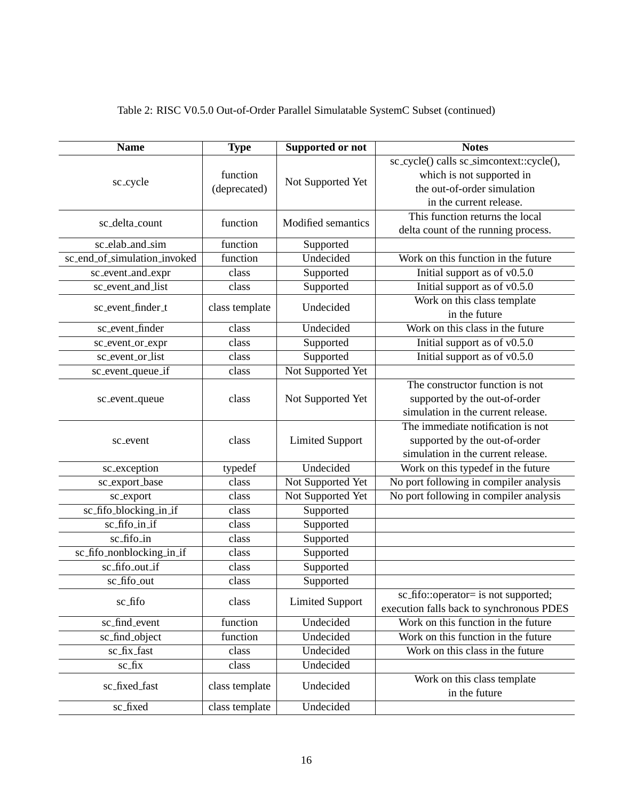| <b>Name</b>                  | <b>Type</b>              | Supported or not       | <b>Notes</b>                             |
|------------------------------|--------------------------|------------------------|------------------------------------------|
|                              |                          |                        | sc_cycle() calls sc_simcontext::cycle(), |
|                              | function<br>(deprecated) | Not Supported Yet      | which is not supported in                |
| sc_cycle                     |                          |                        | the out-of-order simulation              |
|                              |                          |                        | in the current release.                  |
|                              |                          |                        | This function returns the local          |
| sc_delta_count               | function                 | Modified semantics     | delta count of the running process.      |
| sc_elab_and_sim              | function                 | Supported              |                                          |
| sc_end_of_simulation_invoked | function                 | Undecided              | Work on this function in the future      |
| sc_event_and_expr            | class                    | Supported              | Initial support as of v0.5.0             |
| sc_event_and_list            | class                    | Supported              | Initial support as of v0.5.0             |
| sc_event_finder_t            |                          | Undecided              | Work on this class template              |
|                              | class template           |                        | in the future                            |
| sc_event_finder              | class                    | Undecided              | Work on this class in the future         |
| sc_event_or_expr             | class                    | Supported              | Initial support as of v0.5.0             |
| sc_event_or_list             | class                    | Supported              | Initial support as of v0.5.0             |
| sc_event_queue_if            | class                    | Not Supported Yet      |                                          |
|                              |                          |                        | The constructor function is not          |
| sc_event_queue               | class                    | Not Supported Yet      | supported by the out-of-order            |
|                              |                          |                        | simulation in the current release.       |
|                              | class                    | <b>Limited Support</b> | The immediate notification is not        |
| sc_event                     |                          |                        | supported by the out-of-order            |
|                              |                          |                        | simulation in the current release.       |
| sc_exception                 | typedef                  | Undecided              | Work on this typedef in the future       |
| sc_export_base               | class                    | Not Supported Yet      | No port following in compiler analysis   |
| sc_export                    | class                    | Not Supported Yet      | No port following in compiler analysis   |
| sc_fifo_blocking_in_if       | class                    | Supported              |                                          |
| sc_fifo_in_if                | class                    | Supported              |                                          |
| sc_fifo_in                   | class                    | Supported              |                                          |
| sc_fifo_nonblocking_in_if    | class                    | Supported              |                                          |
| sc_fifo_out_if               | class                    | Supported              |                                          |
| sc_fifo_out                  | class                    | Supported              |                                          |
| sc_fifo                      | class                    | <b>Limited Support</b> | sc_fifo::operator= is not supported;     |
|                              |                          |                        | execution falls back to synchronous PDES |
| sc_find_event                | function                 | Undecided              | Work on this function in the future      |
| sc_find_object               | function                 | Undecided              | Work on this function in the future      |
| sc_fix_fast                  | class                    | Undecided              | Work on this class in the future         |
| sc_fix                       | class                    | Undecided              |                                          |
| sc_fixed_fast                | class template           | Undecided              | Work on this class template              |
|                              |                          |                        | in the future                            |
| sc_fixed                     | class template           | Undecided              |                                          |

# Table 2: RISC V0.5.0 Out-of-Order Parallel Simulatable SystemC Subset (continued)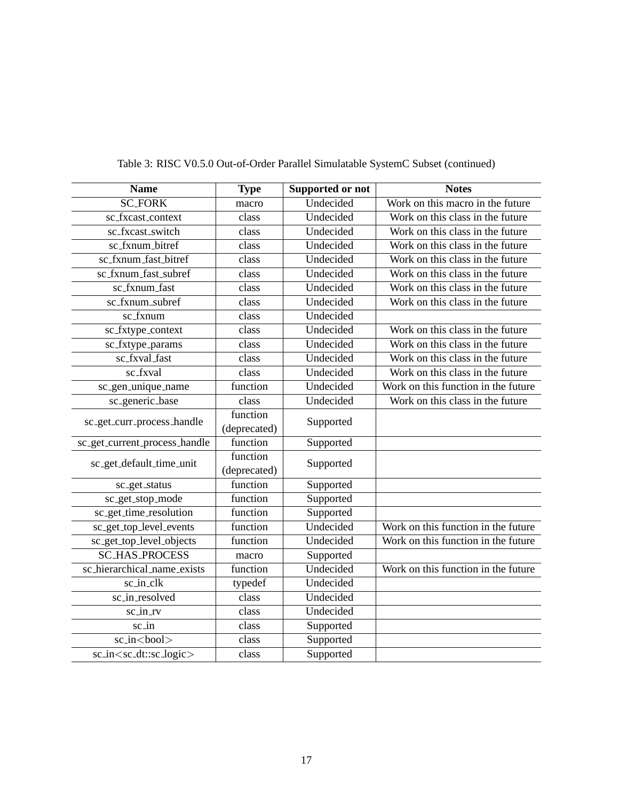| <b>Name</b>                               | <b>Type</b>        | Supported or not | <b>Notes</b>                        |
|-------------------------------------------|--------------------|------------------|-------------------------------------|
| <b>SC_FORK</b>                            | macro              | Undecided        | Work on this macro in the future    |
| sc_fxcast_context                         | class              | Undecided        | Work on this class in the future    |
| sc_fxcast_switch                          | class              | Undecided        | Work on this class in the future    |
| sc_fxnum_bitref                           | class              | Undecided        | Work on this class in the future    |
| sc_fxnum_fast_bitref                      | class              | Undecided        | Work on this class in the future    |
| sc_fxnum_fast_subref                      | class              | Undecided        | Work on this class in the future    |
| sc_fxnum_fast                             | class              | Undecided        | Work on this class in the future    |
| sc_fxnum_subref                           | $\overline{class}$ | Undecided        | Work on this class in the future    |
| $\overline{\text{sc}$ fxnum               | class              | Undecided        |                                     |
| sc_fxtype_context                         | class              | Undecided        | Work on this class in the future    |
| sc_fxtype_params                          | class              | Undecided        | Work on this class in the future    |
| sc_fxval_fast                             | class              | Undecided        | Work on this class in the future    |
| sc_fxval                                  | class              | Undecided        | Work on this class in the future    |
| sc_gen_unique_name                        | function           | Undecided        | Work on this function in the future |
| sc_generic_base                           | class              | Undecided        | Work on this class in the future    |
| sc_get_curr_process_handle                | function           | Supported        |                                     |
|                                           | (deprecated)       |                  |                                     |
| sc_get_current_process_handle             | function           | Supported        |                                     |
| sc_get_default_time_unit                  | function           | Supported        |                                     |
|                                           | (deprecated)       |                  |                                     |
| sc_get_status                             | function           | Supported        |                                     |
| sc_get_stop_mode                          | function           | Supported        |                                     |
| sc_get_time_resolution                    | function           | Supported        |                                     |
| sc_get_top_level_events                   | function           | Undecided        | Work on this function in the future |
| sc_get_top_level_objects                  | function           | Undecided        | Work on this function in the future |
| <b>SC_HAS_PROCESS</b>                     | macro              | Supported        |                                     |
| sc_hierarchical_name_exists               | function           | Undecided        | Work on this function in the future |
| sc_in_clk                                 | typedef            | Undecided        |                                     |
| sc_in_resolved                            | class              | Undecided        |                                     |
| sc_in_rv                                  | class              | Undecided        |                                     |
| sc_in                                     | class              | Supported        |                                     |
| sc_in<br>bool>                            | class              | Supported        |                                     |
| sc_in <sc_dt::sc_logic></sc_dt::sc_logic> | class              | Supported        |                                     |

# Table 3: RISC V0.5.0 Out-of-Order Parallel Simulatable SystemC Subset (continued)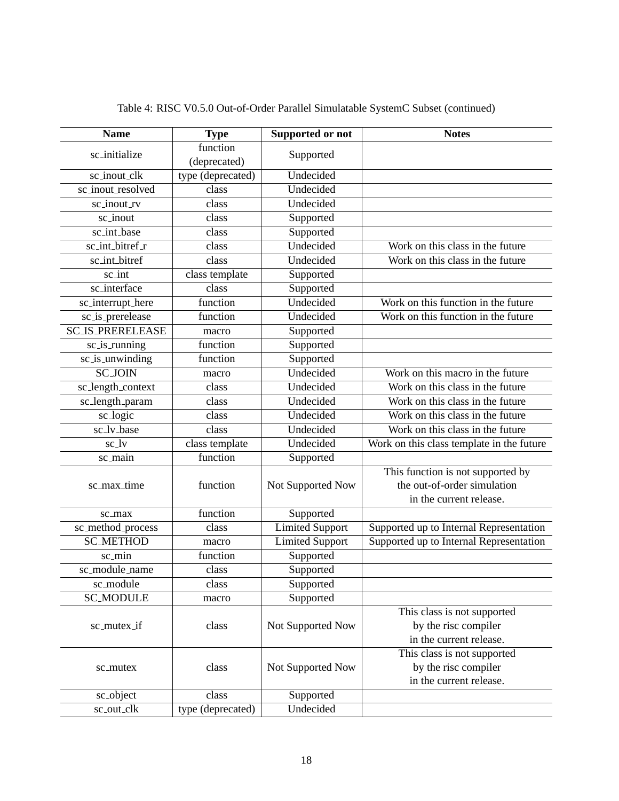| <b>Name</b>             | <b>Type</b>       | Supported or not       | <b>Notes</b>                              |
|-------------------------|-------------------|------------------------|-------------------------------------------|
| sc_initialize           | function          | Supported              |                                           |
|                         | (deprecated)      |                        |                                           |
| sc_inout_clk            | type (deprecated) | Undecided              |                                           |
| sc_inout_resolved       | class             | Undecided              |                                           |
| sc_inout_rv             | class             | Undecided              |                                           |
| sc_inout                | class             | Supported              |                                           |
| sc_int_base             | class             | Supported              |                                           |
| sc_int_bitref_r         | class             | Undecided              | Work on this class in the future          |
| sc_int_bitref           | class             | Undecided              | Work on this class in the future          |
| sc_int                  | class template    | Supported              |                                           |
| sc_interface            | class             | Supported              |                                           |
| sc_interrupt_here       | function          | Undecided              | Work on this function in the future       |
| sc_is_prerelease        | function          | Undecided              | Work on this function in the future       |
| <b>SC_IS_PRERELEASE</b> | macro             | Supported              |                                           |
| sc_is_running           | function          | Supported              |                                           |
| sc_is_unwinding         | function          | Supported              |                                           |
| <b>SC_JOIN</b>          | macro             | Undecided              | Work on this macro in the future          |
| sc_length_context       | class             | Undecided              | Work on this class in the future          |
| sc_length_param         | class             | Undecided              | Work on this class in the future          |
| sc_logic                | class             | Undecided              | Work on this class in the future          |
| sc_lv_base              | class             | Undecided              | Work on this class in the future          |
| sc_lv                   | class template    | Undecided              | Work on this class template in the future |
| sc_main                 | function          | Supported              |                                           |
|                         |                   |                        | This function is not supported by         |
| sc_max_time             | function          | Not Supported Now      | the out-of-order simulation               |
|                         |                   |                        | in the current release.                   |
| sc_max                  | function          | Supported              |                                           |
| sc_method_process       | class             | <b>Limited Support</b> | Supported up to Internal Representation   |
| <b>SC_METHOD</b>        | macro             | <b>Limited Support</b> | Supported up to Internal Representation   |
| sc_min                  | function          | Supported              |                                           |
| sc_module_name          | class             | Supported              |                                           |
| sc_module               | class             | Supported              |                                           |
| <b>SC_MODULE</b>        | macro             | Supported              |                                           |
|                         |                   |                        | This class is not supported               |
| sc_mutex_if             | class             | Not Supported Now      | by the risc compiler                      |
|                         |                   |                        | in the current release.                   |
|                         |                   |                        | This class is not supported               |
| sc_mutex                | class             | Not Supported Now      | by the risc compiler                      |
|                         |                   |                        | in the current release.                   |
| sc_object               | class             | Supported              |                                           |
| sc_out_clk              | type (deprecated) | Undecided              |                                           |

Table 4: RISC V0.5.0 Out-of-Order Parallel Simulatable SystemC Subset (continued)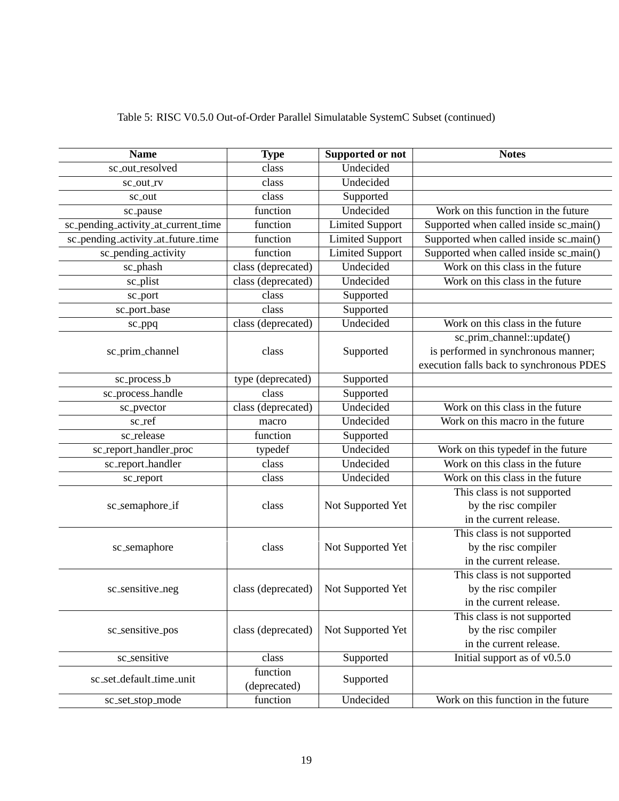| <b>Name</b>                         | <b>Type</b>        | <b>Supported or not</b> | <b>Notes</b>                             |
|-------------------------------------|--------------------|-------------------------|------------------------------------------|
| sc_out_resolved                     | class              | Undecided               |                                          |
| sc_out_rv                           | class              | Undecided               |                                          |
| sc_out                              | class              | Supported               |                                          |
| sc_pause                            | function           | Undecided               | Work on this function in the future      |
| sc_pending_activity_at_current_time | function           | <b>Limited Support</b>  | Supported when called inside sc_main()   |
| sc_pending_activity_at_future_time  | function           | <b>Limited Support</b>  | Supported when called inside sc_main()   |
| sc_pending_activity                 | function           | <b>Limited Support</b>  | Supported when called inside sc_main()   |
| sc_phash                            | class (deprecated) | Undecided               | Work on this class in the future         |
| sc_plist                            | class (deprecated) | Undecided               | Work on this class in the future         |
| sc_port                             | class              | Supported               |                                          |
| sc_port_base                        | class              | Supported               |                                          |
| sc_ppq                              | class (deprecated) | Undecided               | Work on this class in the future         |
|                                     |                    |                         | sc_prim_channel::update()                |
| sc_prim_channel                     | class              | Supported               | is performed in synchronous manner;      |
|                                     |                    |                         | execution falls back to synchronous PDES |
| sc_process_b                        | type (deprecated)  | Supported               |                                          |
| sc_process_handle                   | class              | Supported               |                                          |
| sc_pvector                          | class (deprecated) | Undecided               | Work on this class in the future         |
| $sc\_ref$                           | macro              | Undecided               | Work on this macro in the future         |
| sc_release                          | function           | Supported               |                                          |
| sc_report_handler_proc              | typedef            | Undecided               | Work on this typedef in the future       |
| sc_report_handler                   | class              | Undecided               | Work on this class in the future         |
| sc_report                           | class              | Undecided               | Work on this class in the future         |
|                                     |                    |                         | This class is not supported              |
| sc_semaphore_if                     | class              | Not Supported Yet       | by the risc compiler                     |
|                                     |                    |                         | in the current release.                  |
|                                     |                    |                         | This class is not supported              |
| sc_semaphore                        | class              | Not Supported Yet       | by the risc compiler                     |
|                                     |                    |                         | in the current release.                  |
|                                     |                    |                         | This class is not supported              |
| sc_sensitive_neg                    | class (deprecated) | Not Supported Yet       | by the risc compiler                     |
|                                     |                    |                         | in the current release.                  |
|                                     |                    |                         | This class is not supported              |
| sc_sensitive_pos                    | class (deprecated) | Not Supported Yet       | by the risc compiler                     |
|                                     |                    |                         | in the current release.                  |
| sc_sensitive                        | class              | Supported               | Initial support as of $\sqrt{0.5.0}$     |
| sc_set_default_time_unit            | function           | Supported               |                                          |
|                                     | (deprecated)       |                         |                                          |
| sc_set_stop_mode                    | function           | Undecided               | Work on this function in the future      |

Table 5: RISC V0.5.0 Out-of-Order Parallel Simulatable SystemC Subset (continued)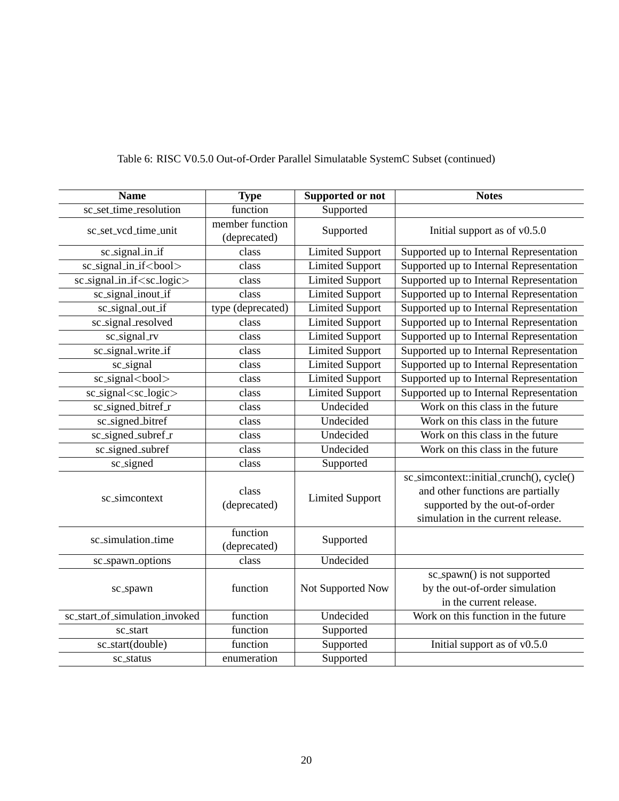| <b>Name</b>                           | <b>Type</b>                     | <b>Supported or not</b> | <b>Notes</b>                                                                                                                                         |
|---------------------------------------|---------------------------------|-------------------------|------------------------------------------------------------------------------------------------------------------------------------------------------|
| sc_set_time_resolution                | function                        | Supported               |                                                                                                                                                      |
| sc_set_vcd_time_unit                  | member function<br>(deprecated) | Supported               | Initial support as of $v0.5.0$                                                                                                                       |
| sc_signal_in_if                       | class                           | <b>Limited Support</b>  | Supported up to Internal Representation                                                                                                              |
| sc_signal_in_if <bool></bool>         | class                           | <b>Limited Support</b>  | Supported up to Internal Representation                                                                                                              |
| sc_signal_in_if <sc_logic></sc_logic> | class                           | <b>Limited Support</b>  | Supported up to Internal Representation                                                                                                              |
| sc_signal_inout_if                    | class                           | <b>Limited Support</b>  | Supported up to Internal Representation                                                                                                              |
| sc_signal_out_if                      | type (deprecated)               | <b>Limited Support</b>  | Supported up to Internal Representation                                                                                                              |
| sc_signal_resolved                    | class                           | <b>Limited Support</b>  | Supported up to Internal Representation                                                                                                              |
| sc_signal_rv                          | class                           | <b>Limited Support</b>  | Supported up to Internal Representation                                                                                                              |
| sc_signal_write_if                    | class                           | <b>Limited Support</b>  | Supported up to Internal Representation                                                                                                              |
| sc_signal                             | class                           | <b>Limited Support</b>  | Supported up to Internal Representation                                                                                                              |
| sc_signal<br>bool>                    | class                           | <b>Limited Support</b>  | Supported up to Internal Representation                                                                                                              |
| sc_signal <sc_logic></sc_logic>       | class                           | <b>Limited Support</b>  | Supported up to Internal Representation                                                                                                              |
| sc_signed_bitref_r                    | class                           | Undecided               | Work on this class in the future                                                                                                                     |
| sc_signed_bitref                      | class                           | Undecided               | Work on this class in the future                                                                                                                     |
| sc_signed_subref_r                    | class                           | Undecided               | Work on this class in the future                                                                                                                     |
| sc_signed_subref                      | class                           | Undecided               | Work on this class in the future                                                                                                                     |
| sc_signed                             | class                           | Supported               |                                                                                                                                                      |
| sc_simcontext                         | class<br>(deprecated)           | <b>Limited Support</b>  | sc_simcontext::initial_crunch(), cycle()<br>and other functions are partially<br>supported by the out-of-order<br>simulation in the current release. |
| sc_simulation_time                    | function<br>(deprecated)        | Supported               |                                                                                                                                                      |
| sc_spawn_options                      | class                           | Undecided               |                                                                                                                                                      |
| sc_spawn                              | function                        | Not Supported Now       | sc_spawn() is not supported<br>by the out-of-order simulation<br>in the current release.                                                             |
| sc_start_of_simulation_invoked        | function                        | Undecided               | Work on this function in the future                                                                                                                  |
| sc_start                              | function                        | Supported               |                                                                                                                                                      |
| sc_start(double)                      | function                        | Supported               | Initial support as of $v0.5.0$                                                                                                                       |
| sc_status                             | enumeration                     | Supported               |                                                                                                                                                      |

# Table 6: RISC V0.5.0 Out-of-Order Parallel Simulatable SystemC Subset (continued)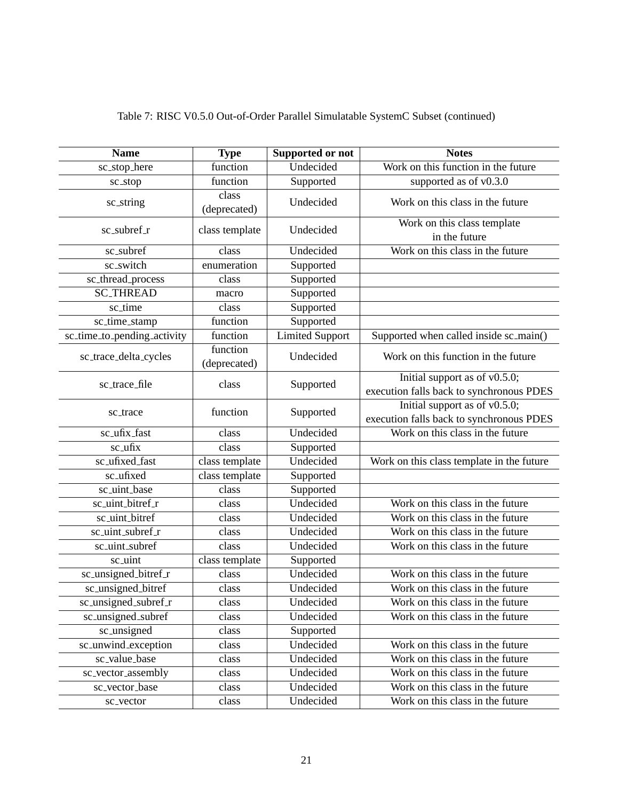| <b>Name</b>                 | <b>Type</b>              | Supported or not       | <b>Notes</b>                                                                 |
|-----------------------------|--------------------------|------------------------|------------------------------------------------------------------------------|
| sc_stop_here                | function                 | Undecided              | Work on this function in the future                                          |
| sc_stop                     | function                 | Supported              | supported as of v0.3.0                                                       |
| sc_string                   | class<br>(deprecated)    | Undecided              | Work on this class in the future                                             |
| $sc\_subref_r$              | class template           | Undecided              | Work on this class template<br>in the future                                 |
| sc_subref                   | class                    | Undecided              | Work on this class in the future                                             |
| sc_switch                   | enumeration              | Supported              |                                                                              |
| sc_thread_process           | class                    | Supported              |                                                                              |
| <b>SC_THREAD</b>            | macro                    | Supported              |                                                                              |
| sc_time                     | class                    | Supported              |                                                                              |
| sc_time_stamp               | function                 | Supported              |                                                                              |
| sc_time_to_pending_activity | function                 | <b>Limited Support</b> | Supported when called inside sc_main()                                       |
| sc_trace_delta_cycles       | function<br>(deprecated) | Undecided              | Work on this function in the future                                          |
| sc_trace_file               | class                    | Supported              | Initial support as of $v0.5.0$ ;<br>execution falls back to synchronous PDES |
| sc_trace                    | function                 | Supported              | Initial support as of $v0.5.0$ ;<br>execution falls back to synchronous PDES |
| sc_ufix_fast                | class                    | Undecided              | Work on this class in the future                                             |
| sc_ufix                     | class                    | Supported              |                                                                              |
| sc_ufixed_fast              | class template           | Undecided              | Work on this class template in the future                                    |
| sc_ufixed                   | class template           | Supported              |                                                                              |
| sc_uint_base                | class                    | Supported              |                                                                              |
| sc_uint_bitref_r            | class                    | Undecided              | Work on this class in the future                                             |
| sc_uint_bitref              | class                    | Undecided              | Work on this class in the future                                             |
| sc_uint_subref_r            | class                    | Undecided              | Work on this class in the future                                             |
| sc_uint_subref              | class                    | Undecided              | Work on this class in the future                                             |
| sc_uint                     | class template           | Supported              |                                                                              |
| sc_unsigned_bitref_r        | class                    | Undecided              | Work on this class in the future                                             |
| sc_unsigned_bitref          | class                    | Undecided              | Work on this class in the future                                             |
| sc_unsigned_subref_r        | class                    | Undecided              | Work on this class in the future                                             |
| sc_unsigned_subref          | class                    | Undecided              | Work on this class in the future                                             |
| sc_unsigned                 | class                    | Supported              |                                                                              |
| sc_unwind_exception         | class                    | Undecided              | Work on this class in the future                                             |
| sc_value_base               | class                    | Undecided              | Work on this class in the future                                             |
| sc_vector_assembly          | class                    | Undecided              | Work on this class in the future                                             |
| sc_vector_base              | class                    | Undecided              | Work on this class in the future                                             |
| sc_vector                   | class                    | Undecided              | Work on this class in the future                                             |

Table 7: RISC V0.5.0 Out-of-Order Parallel Simulatable SystemC Subset (continued)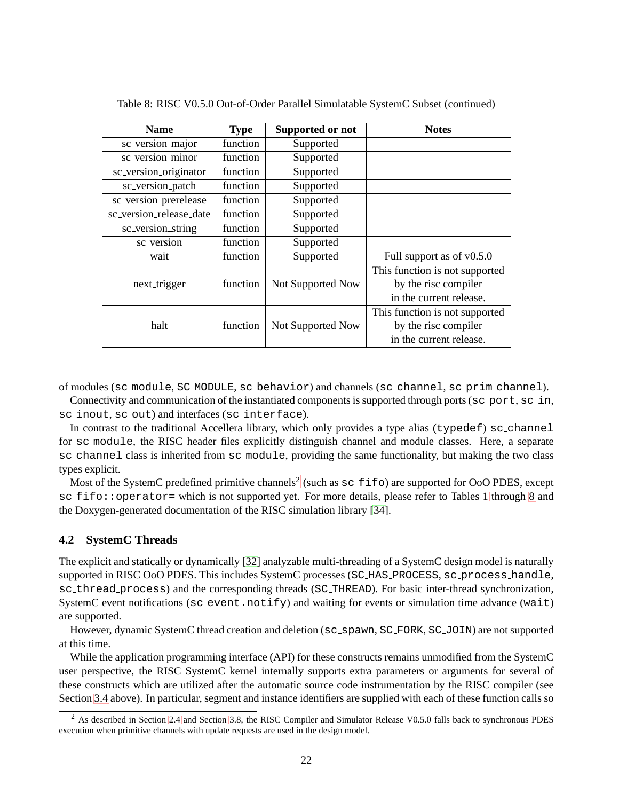| Name                    | <b>Type</b> | Supported or not  | <b>Notes</b>                   |
|-------------------------|-------------|-------------------|--------------------------------|
| sc_version_major        | function    | Supported         |                                |
| sc_version_minor        | function    | Supported         |                                |
| sc_version_originator   | function    | Supported         |                                |
| sc_version_patch        | function    | Supported         |                                |
| sc_version_prerelease   | function    | Supported         |                                |
| sc_version_release_date | function    | Supported         |                                |
| sc_version_string       | function    | Supported         |                                |
| sc_version              | function    | Supported         |                                |
| wait                    | function    | Supported         | Full support as of $v0.5.0$    |
|                         |             |                   | This function is not supported |
| next_trigger            | function    | Not Supported Now | by the risc compiler           |
|                         |             |                   | in the current release.        |
|                         |             |                   | This function is not supported |
| halt                    | function    | Not Supported Now | by the risc compiler           |
|                         |             |                   | in the current release.        |

Table 8: RISC V0.5.0 Out-of-Order Parallel Simulatable SystemC Subset (continued)

of modules (sc module, SC MODULE, sc behavior) and channels (sc channel, sc prim channel).

Connectivity and communication of the instantiated components is supported through ports (sc\_port, sc\_in, sc inout, sc out) and interfaces (sc interface).

In contrast to the traditional Accellera library, which only provides a type alias (typedef) sc\_channel for sc module, the RISC header files explicitly distinguish channel and module classes. Here, a separate sc\_channel class is inherited from sc\_module, providing the same functionality, but making the two class types explicit.

Most of the SystemC predefined primitive channels<sup>[2](#page-26-1)</sup> (such as  $\text{sc\_fib}$ ) are supported for OoO PDES, except sc\_fifo::operator= which is not supported yet. For more details, please refer to Tables [1](#page-18-0) through [8](#page-18-0) and the Doxygen-generated documentation of the RISC simulation library [\[34\]](#page-31-13).

# <span id="page-26-0"></span>**4.2 SystemC Threads**

The explicit and statically or dynamically [\[32\]](#page-31-11) analyzable multi-threading of a SystemC design model is naturally supported in RISC OoO PDES. This includes SystemC processes (SC HAS PROCESS, sc process handle, sc thread process) and the corresponding threads (SC THREAD). For basic inter-thread synchronization, SystemC event notifications ( $sc$  event.notify) and waiting for events or simulation time advance (wait) are supported.

However, dynamic SystemC thread creation and deletion (sc\_spawn, SC\_FORK, SC\_JOIN) are not supported at this time.

While the application programming interface (API) for these constructs remains unmodified from the SystemC user perspective, the RISC SystemC kernel internally supports extra parameters or arguments for several of these constructs which are utilized after the automatic source code instrumentation by the RISC compiler (see Section [3.4](#page-13-0) above). In particular, segment and instance identifiers are supplied with each of these function calls so

<span id="page-26-1"></span><sup>&</sup>lt;sup>2</sup> As described in Section [2.4](#page-8-0) and Section [3.8,](#page-17-1) the RISC Compiler and Simulator Release V0.5.0 falls back to synchronous PDES execution when primitive channels with update requests are used in the design model.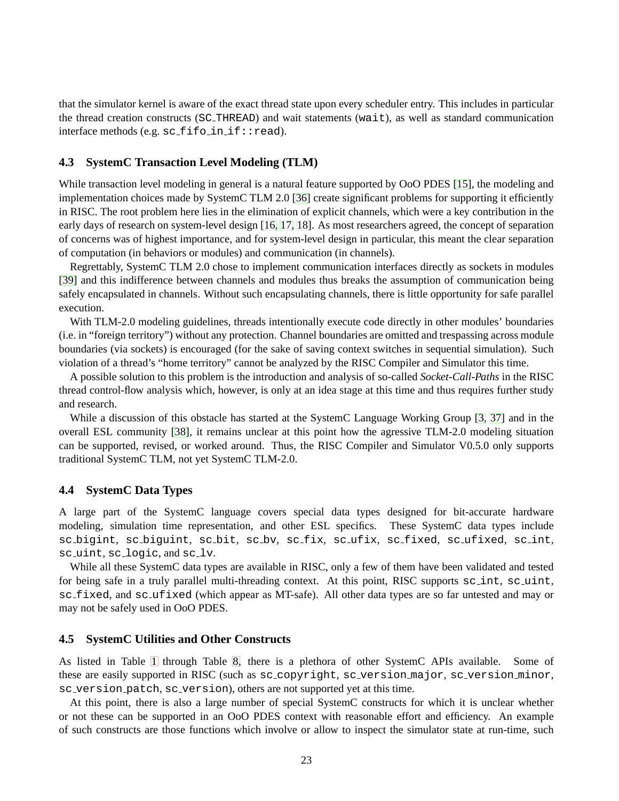that the simulator kernel is aware of the exact thread state upon every scheduler entry. This includes in particular the thread creation constructs (SC THREAD) and wait statements (wait), as well as standard communication  $interface$  methods (e.g.  $sc_f$ ifo  $in_i$ :: $read$ ).

#### <span id="page-27-0"></span>**4.3 SystemC Transaction Level Modeling (TLM)**

While transaction level modeling in general is a natural feature supported by OoO PDES [\[15\]](#page-30-9), the modeling and implementation choices made by SystemC TLM 2.0 [\[36\]](#page-32-0) create significant problems for supporting it efficiently in RISC. The root problem here lies in the elimination of explicit channels, which were a key contribution in the early days of research on system-level design [\[16,](#page-30-10) [17,](#page-30-11) [18\]](#page-30-12). As most researchers agreed, the concept of separation of concerns was of highest importance, and for system-level design in particular, this meant the clear separation of computation (in behaviors or modules) and communication (in channels).

Regrettably, SystemC TLM 2.0 chose to implement communication interfaces directly as sockets in modules [\[39\]](#page-32-3) and this indifference between channels and modules thus breaks the assumption of communication being safely encapsulated in channels. Without such encapsulating channels, there is little opportunity for safe parallel execution.

With TLM-2.0 modeling guidelines, threads intentionally execute code directly in other modules' boundaries (i.e. in "foreign territory") without any protection. Channel boundaries are omitted and trespassing across module boundaries (via sockets) is encouraged (for the sake of saving context switches in sequential simulation). Such violation of a thread's "home territory" cannot be analyzed by the RISC Compiler and Simulator this time.

A possible solution to this problem is the introduction and analysis of so-called *Socket-Call-Paths* in the RISC thread control-flow analysis which, however, is only at an idea stage at this time and thus requires further study and research.

While a discussion of this obstacle has started at the SystemC Language Working Group [\[3,](#page-29-4) [37\]](#page-32-1) and in the overall ESL community [\[38\]](#page-32-2), it remains unclear at this point how the agressive TLM-2.0 modeling situation can be supported, revised, or worked around. Thus, the RISC Compiler and Simulator V0.5.0 only supports traditional SystemC TLM, not yet SystemC TLM-2.0.

#### <span id="page-27-1"></span>**4.4 SystemC Data Types**

A large part of the SystemC language covers special data types designed for bit-accurate hardware modeling, simulation time representation, and other ESL specifics. These SystemC data types include sc bigint, sc biguint, sc bit, sc bv, sc fix, sc ufix, sc fixed, sc ufixed, sc int, sc uint, sc logic, and sc lv.

While all these SystemC data types are available in RISC, only a few of them have been validated and tested for being safe in a truly parallel multi-threading context. At this point, RISC supports sc\_int, sc\_uint, sc fixed, and sc ufixed (which appear as MT-safe). All other data types are so far untested and may or may not be safely used in OoO PDES.

# <span id="page-27-2"></span>**4.5 SystemC Utilities and Other Constructs**

As listed in Table [1](#page-18-0) through Table [8,](#page-18-0) there is a plethora of other SystemC APIs available. Some of these are easily supported in RISC (such as sc copyright, sc version major, sc version minor, sc version patch, sc version), others are not supported yet at this time.

At this point, there is also a large number of special SystemC constructs for which it is unclear whether or not these can be supported in an OoO PDES context with reasonable effort and efficiency. An example of such constructs are those functions which involve or allow to inspect the simulator state at run-time, such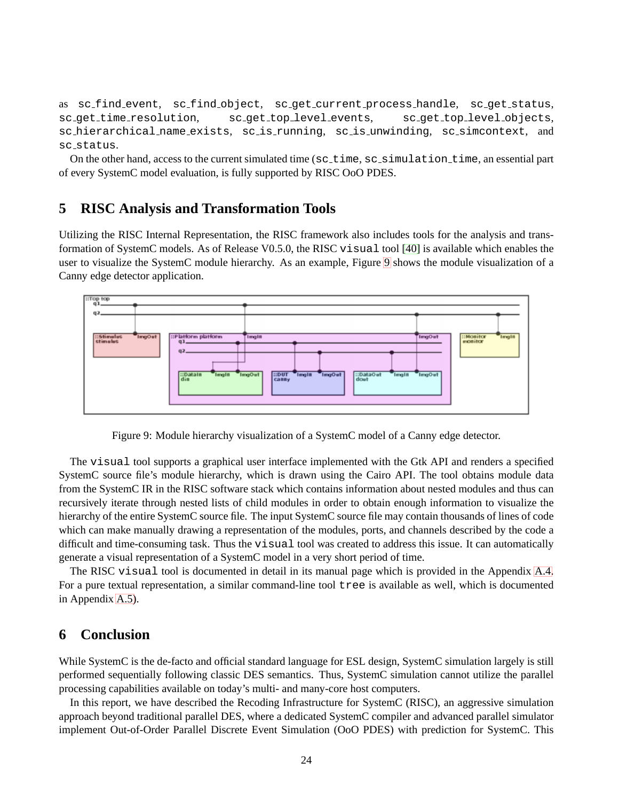as sc find event, sc find object, sc get current process handle, sc get status, sc get time resolution, sc get top level events, sc get top level objects, sc hierarchical name exists, sc is running, sc is unwinding, sc simcontext, and sc status.

On the other hand, access to the current simulated time (sc\_time, sc\_simulation\_time, an essential part of every SystemC model evaluation, is fully supported by RISC OoO PDES.

# <span id="page-28-0"></span>**5 RISC Analysis and Transformation Tools**

Utilizing the RISC Internal Representation, the RISC framework also includes tools for the analysis and transformation of SystemC models. As of Release V0.5.0, the RISC visual tool [\[40\]](#page-32-4) is available which enables the user to visualize the SystemC module hierarchy. As an example, Figure [9](#page-28-0) shows the module visualization of a Canny edge detector application.



Figure 9: Module hierarchy visualization of a SystemC model of a Canny edge detector.

The visual tool supports a graphical user interface implemented with the Gtk API and renders a specified SystemC source file's module hierarchy, which is drawn using the Cairo API. The tool obtains module data from the SystemC IR in the RISC software stack which contains information about nested modules and thus can recursively iterate through nested lists of child modules in order to obtain enough information to visualize the hierarchy of the entire SystemC source file. The input SystemC source file may contain thousands of lines of code which can make manually drawing a representation of the modules, ports, and channels described by the code a difficult and time-consuming task. Thus the visual tool was created to address this issue. It can automatically generate a visual representation of a SystemC model in a very short period of time.

The RISC visual tool is documented in detail in its manual page which is provided in the Appendix [A.4.](#page-43-0) For a pure textual representation, a similar command-line tool tree is available as well, which is documented in Appendix [A.5\)](#page-45-0).

# <span id="page-28-1"></span>**6 Conclusion**

While SystemC is the de-facto and official standard language for ESL design, SystemC simulation largely is still performed sequentially following classic DES semantics. Thus, SystemC simulation cannot utilize the parallel processing capabilities available on today's multi- and many-core host computers.

In this report, we have described the Recoding Infrastructure for SystemC (RISC), an aggressive simulation approach beyond traditional parallel DES, where a dedicated SystemC compiler and advanced parallel simulator implement Out-of-Order Parallel Discrete Event Simulation (OoO PDES) with prediction for SystemC. This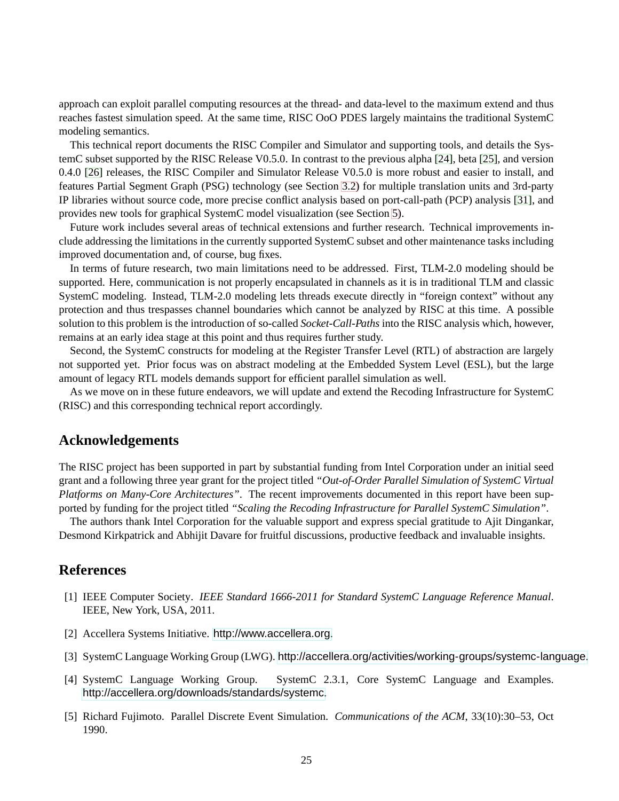approach can exploit parallel computing resources at the thread- and data-level to the maximum extend and thus reaches fastest simulation speed. At the same time, RISC OoO PDES largely maintains the traditional SystemC modeling semantics.

This technical report documents the RISC Compiler and Simulator and supporting tools, and details the SystemC subset supported by the RISC Release V0.5.0. In contrast to the previous alpha [\[24\]](#page-31-3), beta [\[25\]](#page-31-4), and version 0.4.0 [\[26\]](#page-31-5) releases, the RISC Compiler and Simulator Release V0.5.0 is more robust and easier to install, and features Partial Segment Graph (PSG) technology (see Section [3.2\)](#page-11-0) for multiple translation units and 3rd-party IP libraries without source code, more precise conflict analysis based on port-call-path (PCP) analysis [\[31\]](#page-31-10), and provides new tools for graphical SystemC model visualization (see Section [5\)](#page-28-0).

Future work includes several areas of technical extensions and further research. Technical improvements include addressing the limitations in the currently supported SystemC subset and other maintenance tasks including improved documentation and, of course, bug fixes.

In terms of future research, two main limitations need to be addressed. First, TLM-2.0 modeling should be supported. Here, communication is not properly encapsulated in channels as it is in traditional TLM and classic SystemC modeling. Instead, TLM-2.0 modeling lets threads execute directly in "foreign context" without any protection and thus trespasses channel boundaries which cannot be analyzed by RISC at this time. A possible solution to this problem is the introduction of so-called *Socket-Call-Paths* into the RISC analysis which, however, remains at an early idea stage at this point and thus requires further study.

Second, the SystemC constructs for modeling at the Register Transfer Level (RTL) of abstraction are largely not supported yet. Prior focus was on abstract modeling at the Embedded System Level (ESL), but the large amount of legacy RTL models demands support for efficient parallel simulation as well.

As we move on in these future endeavors, we will update and extend the Recoding Infrastructure for SystemC (RISC) and this corresponding technical report accordingly.

# **Acknowledgements**

<span id="page-29-0"></span>The RISC project has been supported in part by substantial funding from Intel Corporation under an initial seed grant and a following three year grant for the project titled *"Out-of-Order Parallel Simulation of SystemC Virtual Platforms on Many-Core Architectures"*. The recent improvements documented in this report have been supported by funding for the project titled *"Scaling the Recoding Infrastructure for Parallel SystemC Simulation"*.

The authors thank Intel Corporation for the valuable support and express special gratitude to Ajit Dingankar, Desmond Kirkpatrick and Abhijit Davare for fruitful discussions, productive feedback and invaluable insights.

# <span id="page-29-2"></span><span id="page-29-1"></span>**References**

- [1] IEEE Computer Society. *IEEE Standard 1666-2011 for Standard SystemC Language Reference Manual*. IEEE, New York, USA, 2011.
- <span id="page-29-4"></span><span id="page-29-3"></span>[2] Accellera Systems Initiative. <http://www.accellera.org>.
- <span id="page-29-5"></span>[3] SystemC Language Working Group (LWG). <http://accellera.org/activities/working-groups/systemc-language>.
- [4] SystemC Language Working Group. SystemC 2.3.1, Core SystemC Language and Examples. <http://accellera.org/downloads/standards/systemc>.
- <span id="page-29-6"></span>[5] Richard Fujimoto. Parallel Discrete Event Simulation. *Communications of the ACM*, 33(10):30–53, Oct 1990.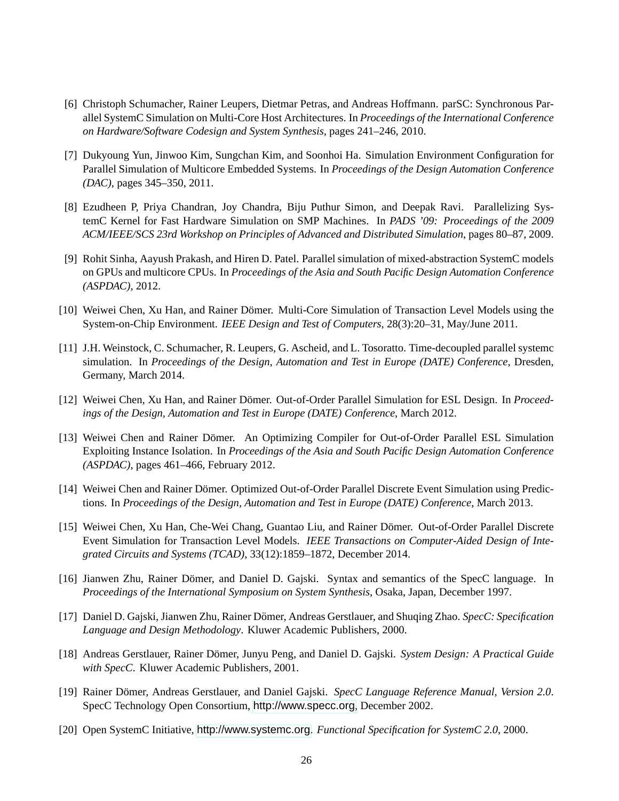- <span id="page-30-0"></span>[6] Christoph Schumacher, Rainer Leupers, Dietmar Petras, and Andreas Hoffmann. parSC: Synchronous Parallel SystemC Simulation on Multi-Core Host Architectures. In *Proceedings of the International Conference on Hardware/Software Codesign and System Synthesis*, pages 241–246, 2010.
- <span id="page-30-1"></span>[7] Dukyoung Yun, Jinwoo Kim, Sungchan Kim, and Soonhoi Ha. Simulation Environment Configuration for Parallel Simulation of Multicore Embedded Systems. In *Proceedings of the Design Automation Conference (DAC)*, pages 345–350, 2011.
- <span id="page-30-2"></span>[8] Ezudheen P, Priya Chandran, Joy Chandra, Biju Puthur Simon, and Deepak Ravi. Parallelizing SystemC Kernel for Fast Hardware Simulation on SMP Machines. In *PADS '09: Proceedings of the 2009 ACM/IEEE/SCS 23rd Workshop on Principles of Advanced and Distributed Simulation*, pages 80–87, 2009.
- <span id="page-30-3"></span>[9] Rohit Sinha, Aayush Prakash, and Hiren D. Patel. Parallel simulation of mixed-abstraction SystemC models on GPUs and multicore CPUs. In *Proceedings of the Asia and South Pacific Design Automation Conference (ASPDAC)*, 2012.
- <span id="page-30-5"></span><span id="page-30-4"></span>[10] Weiwei Chen, Xu Han, and Rainer Dömer. Multi-Core Simulation of Transaction Level Models using the System-on-Chip Environment. *IEEE Design and Test of Computers*, 28(3):20–31, May/June 2011.
- [11] J.H. Weinstock, C. Schumacher, R. Leupers, G. Ascheid, and L. Tosoratto. Time-decoupled parallel systemc simulation. In *Proceedings of the Design, Automation and Test in Europe (DATE) Conference*, Dresden, Germany, March 2014.
- <span id="page-30-7"></span><span id="page-30-6"></span>[12] Weiwei Chen, Xu Han, and Rainer Dömer. Out-of-Order Parallel Simulation for ESL Design. In Proceed*ings of the Design, Automation and Test in Europe (DATE) Conference*, March 2012.
- [13] Weiwei Chen and Rainer Dömer. An Optimizing Compiler for Out-of-Order Parallel ESL Simulation Exploiting Instance Isolation. In *Proceedings of the Asia and South Pacific Design Automation Conference (ASPDAC)*, pages 461–466, February 2012.
- <span id="page-30-8"></span>[14] Weiwei Chen and Rainer Dömer. Optimized Out-of-Order Parallel Discrete Event Simulation using Predictions. In *Proceedings of the Design, Automation and Test in Europe (DATE) Conference*, March 2013.
- <span id="page-30-9"></span>[15] Weiwei Chen, Xu Han, Che-Wei Chang, Guantao Liu, and Rainer Dömer. Out-of-Order Parallel Discrete Event Simulation for Transaction Level Models. *IEEE Transactions on Computer-Aided Design of Integrated Circuits and Systems (TCAD)*, 33(12):1859–1872, December 2014.
- <span id="page-30-10"></span>[16] Jianwen Zhu, Rainer Dömer, and Daniel D. Gajski. Syntax and semantics of the SpecC language. In *Proceedings of the International Symposium on System Synthesis*, Osaka, Japan, December 1997.
- <span id="page-30-11"></span>[17] Daniel D. Gajski, Jianwen Zhu, Rainer Domer, Andreas Gerstlauer, and Shuqing Zhao. ¨ *SpecC: Specification Language and Design Methodology*. Kluwer Academic Publishers, 2000.
- <span id="page-30-12"></span>[18] Andreas Gerstlauer, Rainer Dömer, Junyu Peng, and Daniel D. Gajski. *System Design: A Practical Guide with SpecC*. Kluwer Academic Publishers, 2001.
- <span id="page-30-13"></span>[19] Rainer Domer, Andreas Gerstlauer, and Daniel Gajski. ¨ *SpecC Language Reference Manual, Version 2.0*. SpecC Technology Open Consortium, <http://www.specc.org>, December 2002.
- <span id="page-30-14"></span>[20] Open SystemC Initiative, <http://www.systemc.org>. *Functional Specification for SystemC 2.0*, 2000.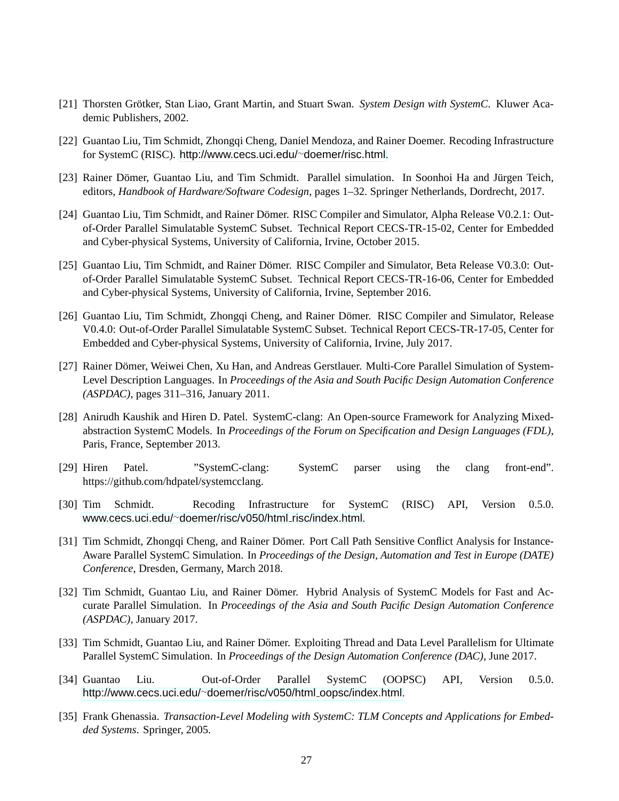- <span id="page-31-1"></span><span id="page-31-0"></span>[21] Thorsten Grötker, Stan Liao, Grant Martin, and Stuart Swan. System Design with SystemC. Kluwer Academic Publishers, 2002.
- <span id="page-31-2"></span>[22] Guantao Liu, Tim Schmidt, Zhongqi Cheng, Daniel Mendoza, and Rainer Doemer. Recoding Infrastructure for SystemC (RISC). [http://www.cecs.uci.edu/](http://www.cecs.uci.edu/~doemer/risc.html)∼doemer/risc.html.
- <span id="page-31-3"></span>[23] Rainer Dömer, Guantao Liu, and Tim Schmidt. Parallel simulation. In Soonhoi Ha and Jürgen Teich, editors, *Handbook of Hardware/Software Codesign*, pages 1–32. Springer Netherlands, Dordrecht, 2017.
- [24] Guantao Liu, Tim Schmidt, and Rainer Dömer. RISC Compiler and Simulator, Alpha Release V0.2.1: Outof-Order Parallel Simulatable SystemC Subset. Technical Report CECS-TR-15-02, Center for Embedded and Cyber-physical Systems, University of California, Irvine, October 2015.
- <span id="page-31-4"></span>[25] Guantao Liu, Tim Schmidt, and Rainer Dömer. RISC Compiler and Simulator, Beta Release V0.3.0: Outof-Order Parallel Simulatable SystemC Subset. Technical Report CECS-TR-16-06, Center for Embedded and Cyber-physical Systems, University of California, Irvine, September 2016.
- <span id="page-31-5"></span>[26] Guantao Liu, Tim Schmidt, Zhongqi Cheng, and Rainer Dömer. RISC Compiler and Simulator, Release V0.4.0: Out-of-Order Parallel Simulatable SystemC Subset. Technical Report CECS-TR-17-05, Center for Embedded and Cyber-physical Systems, University of California, Irvine, July 2017.
- <span id="page-31-6"></span>[27] Rainer Dömer, Weiwei Chen, Xu Han, and Andreas Gerstlauer. Multi-Core Parallel Simulation of System-Level Description Languages. In *Proceedings of the Asia and South Pacific Design Automation Conference (ASPDAC)*, pages 311–316, January 2011.
- <span id="page-31-7"></span>[28] Anirudh Kaushik and Hiren D. Patel. SystemC-clang: An Open-source Framework for Analyzing Mixedabstraction SystemC Models. In *Proceedings of the Forum on Specification and Design Languages (FDL)*, Paris, France, September 2013.
- <span id="page-31-9"></span><span id="page-31-8"></span>[29] Hiren Patel. "SystemC-clang: SystemC parser using the clang front-end". https://github.com/hdpatel/systemcclang.
- <span id="page-31-10"></span>[30] Tim Schmidt. Recoding Infrastructure for SystemC (RISC) API, Version 0.5.0. www.cecs.uci.edu/∼[doemer/risc/v050/html](www.cecs.uci.edu/~doemer/risc/v050/html_risc/index.html)\_risc/index.html.
- [31] Tim Schmidt, Zhongqi Cheng, and Rainer Dömer. Port Call Path Sensitive Conflict Analysis for Instance-Aware Parallel SystemC Simulation. In *Proceedings of the Design, Automation and Test in Europe (DATE) Conference*, Dresden, Germany, March 2018.
- <span id="page-31-11"></span>[32] Tim Schmidt, Guantao Liu, and Rainer Dömer. Hybrid Analysis of SystemC Models for Fast and Accurate Parallel Simulation. In *Proceedings of the Asia and South Pacific Design Automation Conference (ASPDAC)*, January 2017.
- <span id="page-31-12"></span>[33] Tim Schmidt, Guantao Liu, and Rainer Dömer. Exploiting Thread and Data Level Parallelism for Ultimate Parallel SystemC Simulation. In *Proceedings of the Design Automation Conference (DAC)*, June 2017.
- <span id="page-31-13"></span>[34] Guantao Liu. Out-of-Order Parallel SystemC (OOPSC) API, Version 0.5.0. [http://www.cecs.uci.edu/](http://www.cecs.uci.edu/~doemer/risc/v050/html_oopsc/index.html)∼doemer/risc/v050/html oopsc/index.html.
- <span id="page-31-14"></span>[35] Frank Ghenassia. *Transaction-Level Modeling with SystemC: TLM Concepts and Applications for Embedded Systems*. Springer, 2005.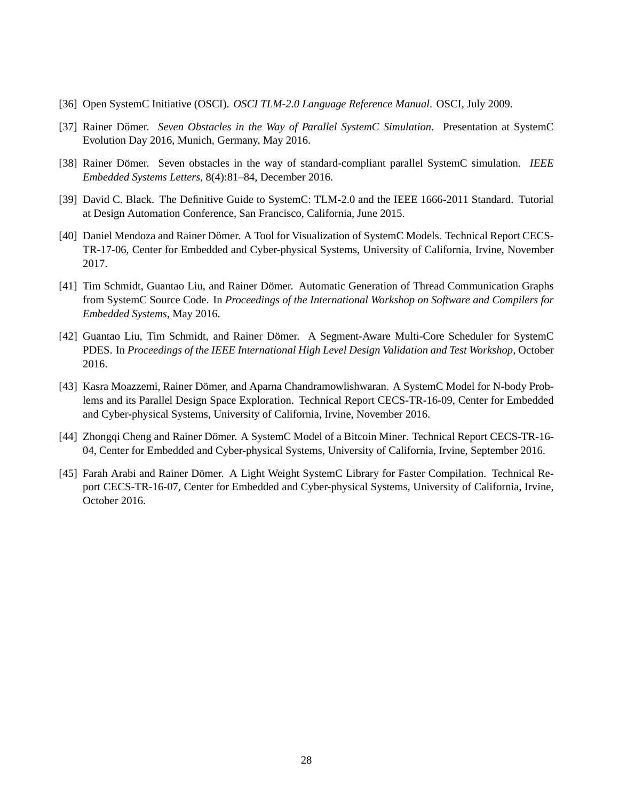- <span id="page-32-1"></span><span id="page-32-0"></span>[36] Open SystemC Initiative (OSCI). *OSCI TLM-2.0 Language Reference Manual*. OSCI, July 2009.
- <span id="page-32-2"></span>[37] Rainer Dömer. Seven Obstacles in the Way of Parallel SystemC Simulation. Presentation at SystemC Evolution Day 2016, Munich, Germany, May 2016.
- <span id="page-32-3"></span>[38] Rainer Dömer. Seven obstacles in the way of standard-compliant parallel SystemC simulation. *IEEE Embedded Systems Letters*, 8(4):81–84, December 2016.
- <span id="page-32-4"></span>[39] David C. Black. The Definitive Guide to SystemC: TLM-2.0 and the IEEE 1666-2011 Standard. Tutorial at Design Automation Conference, San Francisco, California, June 2015.
- [40] Daniel Mendoza and Rainer Dömer. A Tool for Visualization of SystemC Models. Technical Report CECS-TR-17-06, Center for Embedded and Cyber-physical Systems, University of California, Irvine, November 2017.
- [41] Tim Schmidt, Guantao Liu, and Rainer Dömer. Automatic Generation of Thread Communication Graphs from SystemC Source Code. In *Proceedings of the International Workshop on Software and Compilers for Embedded Systems*, May 2016.
- [42] Guantao Liu, Tim Schmidt, and Rainer Dömer. A Segment-Aware Multi-Core Scheduler for SystemC PDES. In *Proceedings of the IEEE International High Level Design Validation and Test Workshop*, October 2016.
- [43] Kasra Moazzemi, Rainer Dömer, and Aparna Chandramowlishwaran. A SystemC Model for N-body Problems and its Parallel Design Space Exploration. Technical Report CECS-TR-16-09, Center for Embedded and Cyber-physical Systems, University of California, Irvine, November 2016.
- [44] Zhongqi Cheng and Rainer Dömer. A SystemC Model of a Bitcoin Miner. Technical Report CECS-TR-16 04, Center for Embedded and Cyber-physical Systems, University of California, Irvine, September 2016.
- [45] Farah Arabi and Rainer Dömer. A Light Weight SystemC Library for Faster Compilation. Technical Report CECS-TR-16-07, Center for Embedded and Cyber-physical Systems, University of California, Irvine, October 2016.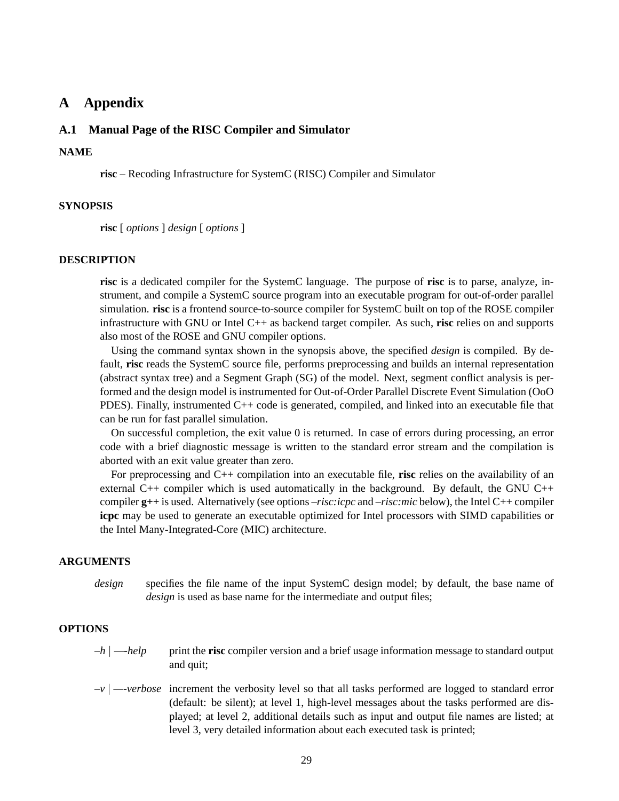# <span id="page-33-0"></span>**A Appendix**

# <span id="page-33-1"></span>**A.1 Manual Page of the RISC Compiler and Simulator**

# **NAME**

**risc** – Recoding Infrastructure for SystemC (RISC) Compiler and Simulator

# **SYNOPSIS**

**risc** [ *options* ] *design* [ *options* ]

#### **DESCRIPTION**

**risc** is a dedicated compiler for the SystemC language. The purpose of **risc** is to parse, analyze, instrument, and compile a SystemC source program into an executable program for out-of-order parallel simulation. **risc** is a frontend source-to-source compiler for SystemC built on top of the ROSE compiler infrastructure with GNU or Intel C++ as backend target compiler. As such, **risc** relies on and supports also most of the ROSE and GNU compiler options.

Using the command syntax shown in the synopsis above, the specified *design* is compiled. By default, **risc** reads the SystemC source file, performs preprocessing and builds an internal representation (abstract syntax tree) and a Segment Graph (SG) of the model. Next, segment conflict analysis is performed and the design model is instrumented for Out-of-Order Parallel Discrete Event Simulation (OoO PDES). Finally, instrumented C++ code is generated, compiled, and linked into an executable file that can be run for fast parallel simulation.

On successful completion, the exit value 0 is returned. In case of errors during processing, an error code with a brief diagnostic message is written to the standard error stream and the compilation is aborted with an exit value greater than zero.

For preprocessing and C++ compilation into an executable file, **risc** relies on the availability of an external  $C_{++}$  compiler which is used automatically in the background. By default, the GNU  $C_{++}$ compiler **g++** is used. Alternatively (see options *–risc:icpc* and *–risc:mic* below), the Intel C++ compiler **icpc** may be used to generate an executable optimized for Intel processors with SIMD capabilities or the Intel Many-Integrated-Core (MIC) architecture.

# **ARGUMENTS**

*design* specifies the file name of the input SystemC design model; by default, the base name of *design* is used as base name for the intermediate and output files;

# **OPTIONS**

- *–h* | *—-help* print the **risc** compiler version and a brief usage information message to standard output and quit;
- *–v* | *—-verbose* increment the verbosity level so that all tasks performed are logged to standard error (default: be silent); at level 1, high-level messages about the tasks performed are displayed; at level 2, additional details such as input and output file names are listed; at level 3, very detailed information about each executed task is printed;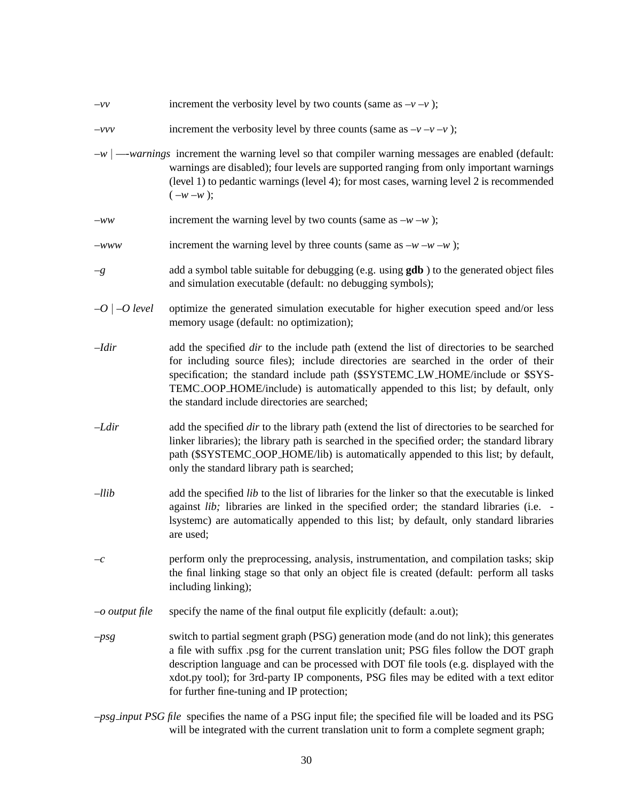| $-\nu\nu$          | increment the verbosity level by two counts (same as $-v-v$ );                                                                                                                                                                                                                                                                                                                                                        |
|--------------------|-----------------------------------------------------------------------------------------------------------------------------------------------------------------------------------------------------------------------------------------------------------------------------------------------------------------------------------------------------------------------------------------------------------------------|
| $-\nu \nu \nu$     | increment the verbosity level by three counts (same as $-v-v$ );                                                                                                                                                                                                                                                                                                                                                      |
|                    | $-w$ $\vert$ $\cdots$ <i>warnings</i> increment the warning level so that compiler warning messages are enabled (default:<br>warnings are disabled); four levels are supported ranging from only important warnings<br>(level 1) to pedantic warnings (level 4); for most cases, warning level 2 is recommended<br>$(-w - w);$                                                                                        |
| $-ww$              | increment the warning level by two counts (same as $-w - w$ );                                                                                                                                                                                                                                                                                                                                                        |
| $-www$             | increment the warning level by three counts (same as $-w - w - w$ );                                                                                                                                                                                                                                                                                                                                                  |
| $-g$               | add a symbol table suitable for debugging (e.g. using <b>gdb</b> ) to the generated object files<br>and simulation executable (default: no debugging symbols);                                                                                                                                                                                                                                                        |
| $-O$   $-O$ level  | optimize the generated simulation executable for higher execution speed and/or less<br>memory usage (default: no optimization);                                                                                                                                                                                                                                                                                       |
| $-Idir$            | add the specified <i>dir</i> to the include path (extend the list of directories to be searched<br>for including source files); include directories are searched in the order of their<br>specification; the standard include path (\$SYSTEMC_LW_HOME/include or \$SYS-<br>TEMC_OOP_HOME/include) is automatically appended to this list; by default, only<br>the standard include directories are searched;          |
| $-Ldir$            | add the specified <i>dir</i> to the library path (extend the list of directories to be searched for<br>linker libraries); the library path is searched in the specified order; the standard library<br>path (\$SYSTEMC_OOP_HOME/lib) is automatically appended to this list; by default,<br>only the standard library path is searched;                                                                               |
| $-llib$            | add the specified <i>lib</i> to the list of libraries for the linker so that the executable is linked<br>against <i>lib</i> ; libraries are linked in the specified order; the standard libraries (i.e. -<br>lsysteme) are automatically appended to this list; by default, only standard libraries<br>are used;                                                                                                      |
| $-\mathcal{C}$     | perform only the preprocessing, analysis, instrumentation, and compilation tasks; skip<br>the final linking stage so that only an object file is created (default: perform all tasks<br>including linking);                                                                                                                                                                                                           |
| $\sim$ output file | specify the name of the final output file explicitly (default: a.out);                                                                                                                                                                                                                                                                                                                                                |
| $-psg$             | switch to partial segment graph (PSG) generation mode (and do not link); this generates<br>a file with suffix .psg for the current translation unit; PSG files follow the DOT graph<br>description language and can be processed with DOT file tools (e.g. displayed with the<br>xdot.py tool); for 3rd-party IP components, PSG files may be edited with a text editor<br>for further fine-tuning and IP protection; |
|                    |                                                                                                                                                                                                                                                                                                                                                                                                                       |

*–psg input PSG file* specifies the name of a PSG input file; the specified file will be loaded and its PSG will be integrated with the current translation unit to form a complete segment graph;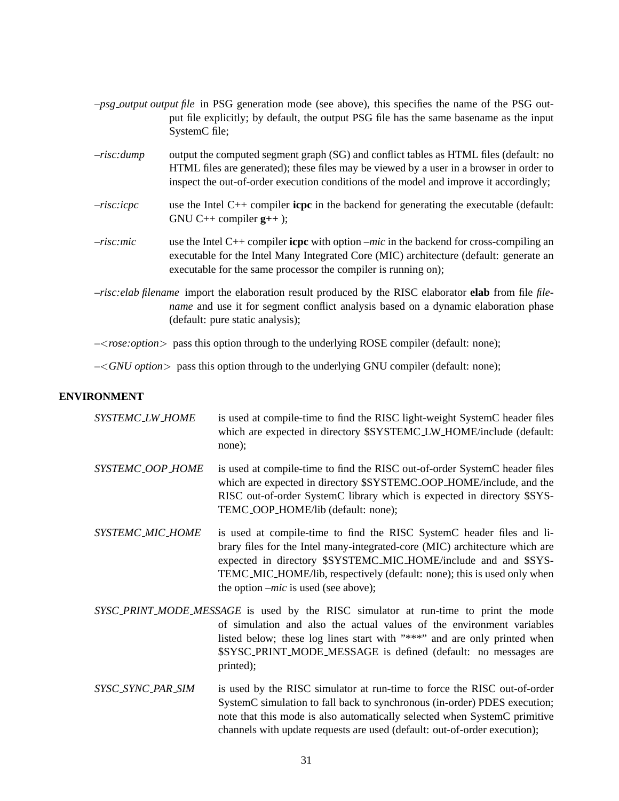- *–psg output output file* in PSG generation mode (see above), this specifies the name of the PSG output file explicitly; by default, the output PSG file has the same basename as the input SystemC file;
- *–risc:dump* output the computed segment graph (SG) and conflict tables as HTML files (default: no HTML files are generated); these files may be viewed by a user in a browser in order to inspect the out-of-order execution conditions of the model and improve it accordingly;
- *–risc:icpc* use the Intel C++ compiler **icpc** in the backend for generating the executable (default: GNU C++ compiler **g++** );
- *–risc:mic* use the Intel C++ compiler **icpc** with option *–mic* in the backend for cross-compiling an executable for the Intel Many Integrated Core (MIC) architecture (default: generate an executable for the same processor the compiler is running on);
- *–risc:elab filename* import the elaboration result produced by the RISC elaborator **elab** from file *filename* and use it for segment conflict analysis based on a dynamic elaboration phase (default: pure static analysis);

*–*<*rose:option*> pass this option through to the underlying ROSE compiler (default: none);

*–*<*GNU option*> pass this option through to the underlying GNU compiler (default: none);

# **ENVIRONMENT**

| SYSTEMC_LW_HOME   | is used at compile-time to find the RISC light-weight SystemC header files<br>which are expected in directory \$SYSTEMC_LW_HOME/include (default:<br>none);                                                                                                                                                                                  |
|-------------------|----------------------------------------------------------------------------------------------------------------------------------------------------------------------------------------------------------------------------------------------------------------------------------------------------------------------------------------------|
| SYSTEMC_OOP_HOME  | is used at compile-time to find the RISC out-of-order SystemC header files<br>which are expected in directory \$SYSTEMC_OOP_HOME/include, and the<br>RISC out-of-order SystemC library which is expected in directory \$SYS-<br>TEMC_OOP_HOME/lib (default: none);                                                                           |
| SYSTEMC_MIC_HOME  | is used at compile-time to find the RISC SystemC header files and li-<br>brary files for the Intel many-integrated-core (MIC) architecture which are<br>expected in directory \$SYSTEMC_MIC_HOME/include and and \$SYS-<br>TEMC_MIC_HOME/lib, respectively (default: none); this is used only when<br>the option $-mic$ is used (see above); |
|                   | SYSC_PRINT_MODE_MESSAGE is used by the RISC simulator at run-time to print the mode<br>of simulation and also the actual values of the environment variables<br>listed below; these log lines start with "***" and are only printed when<br>\$SYSC_PRINT_MODE_MESSAGE is defined (default: no messages are<br>printed);                      |
| SYSC_SYNC_PAR_SIM | is used by the RISC simulator at run-time to force the RISC out-of-order<br>SystemC simulation to fall back to synchronous (in-order) PDES execution;<br>note that this mode is also automatically selected when SystemC primitive                                                                                                           |

channels with update requests are used (default: out-of-order execution);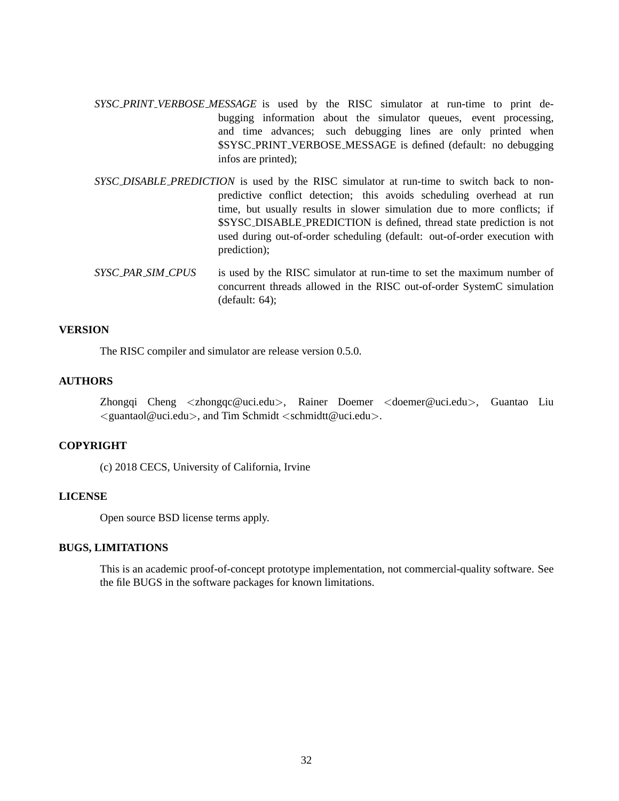- *SYSC PRINT VERBOSE MESSAGE* is used by the RISC simulator at run-time to print debugging information about the simulator queues, event processing, and time advances; such debugging lines are only printed when \$SYSC PRINT VERBOSE MESSAGE is defined (default: no debugging infos are printed);
- *SYSC DISABLE PREDICTION* is used by the RISC simulator at run-time to switch back to nonpredictive conflict detection; this avoids scheduling overhead at run time, but usually results in slower simulation due to more conflicts; if \$SYSC DISABLE PREDICTION is defined, thread state prediction is not used during out-of-order scheduling (default: out-of-order execution with prediction);
- *SYSC PAR SIM CPUS* is used by the RISC simulator at run-time to set the maximum number of concurrent threads allowed in the RISC out-of-order SystemC simulation (default: 64);

## **VERSION**

The RISC compiler and simulator are release version 0.5.0.

## **AUTHORS**

Zhongqi Cheng <zhongqc@uci.edu>, Rainer Doemer <doemer@uci.edu>, Guantao Liu  $\langle$  guantaol@uci.edu $\rangle$ , and Tim Schmidt  $\langle$  schmidtt@uci.edu $\rangle$ .

# **COPYRIGHT**

(c) 2018 CECS, University of California, Irvine

# **LICENSE**

Open source BSD license terms apply.

#### **BUGS, LIMITATIONS**

This is an academic proof-of-concept prototype implementation, not commercial-quality software. See the file BUGS in the software packages for known limitations.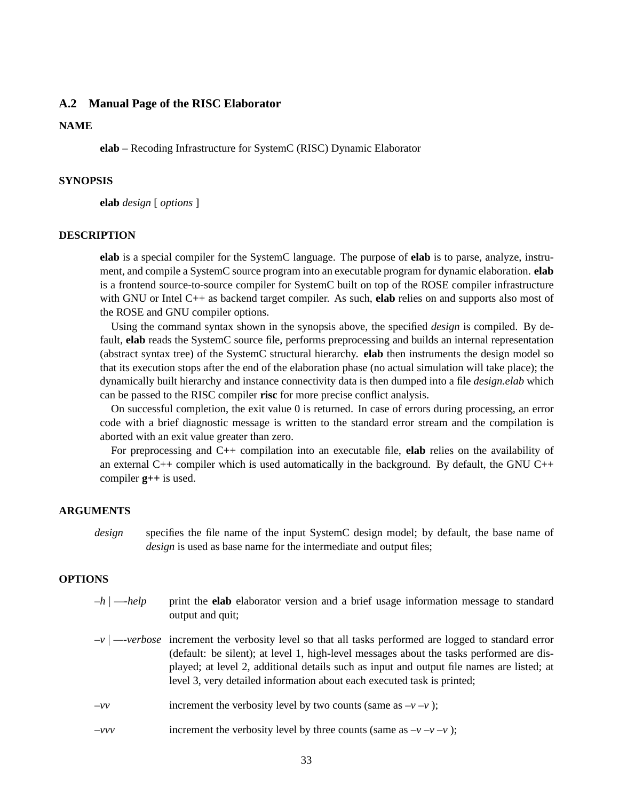#### <span id="page-37-0"></span>**A.2 Manual Page of the RISC Elaborator**

#### **NAME**

**elab** – Recoding Infrastructure for SystemC (RISC) Dynamic Elaborator

#### **SYNOPSIS**

**elab** *design* [ *options* ]

#### **DESCRIPTION**

**elab** is a special compiler for the SystemC language. The purpose of **elab** is to parse, analyze, instrument, and compile a SystemC source program into an executable program for dynamic elaboration. **elab** is a frontend source-to-source compiler for SystemC built on top of the ROSE compiler infrastructure with GNU or Intel C++ as backend target compiler. As such, **elab** relies on and supports also most of the ROSE and GNU compiler options.

Using the command syntax shown in the synopsis above, the specified *design* is compiled. By default, **elab** reads the SystemC source file, performs preprocessing and builds an internal representation (abstract syntax tree) of the SystemC structural hierarchy. **elab** then instruments the design model so that its execution stops after the end of the elaboration phase (no actual simulation will take place); the dynamically built hierarchy and instance connectivity data is then dumped into a file *design.elab* which can be passed to the RISC compiler **risc** for more precise conflict analysis.

On successful completion, the exit value 0 is returned. In case of errors during processing, an error code with a brief diagnostic message is written to the standard error stream and the compilation is aborted with an exit value greater than zero.

For preprocessing and C++ compilation into an executable file, **elab** relies on the availability of an external  $C_{++}$  compiler which is used automatically in the background. By default, the GNU  $C_{++}$ compiler **g++** is used.

#### **ARGUMENTS**

*design* specifies the file name of the input SystemC design model; by default, the base name of *design* is used as base name for the intermediate and output files;

### **OPTIONS**

- *–h* | *—-help* print the **elab** elaborator version and a brief usage information message to standard output and quit;
- *–v* | *—-verbose* increment the verbosity level so that all tasks performed are logged to standard error (default: be silent); at level 1, high-level messages about the tasks performed are displayed; at level 2, additional details such as input and output file names are listed; at level 3, very detailed information about each executed task is printed;
- $-\nu\nu$  increment the verbosity level by two counts (same as  $-\nu \nu$ );
- *–vvv* increment the verbosity level by three counts (same as  $-v-v$ );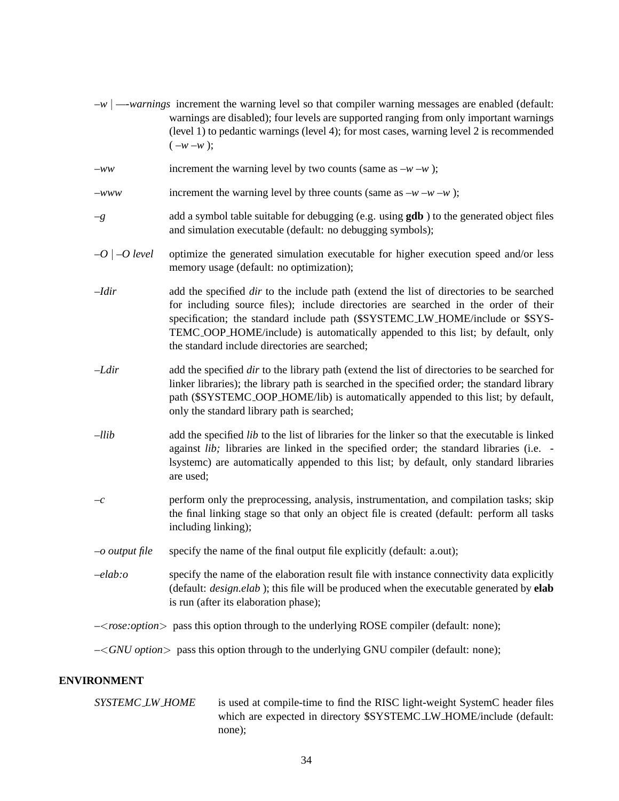- *–w* | *—-warnings* increment the warning level so that compiler warning messages are enabled (default: warnings are disabled); four levels are supported ranging from only important warnings (level 1) to pedantic warnings (level 4); for most cases, warning level 2 is recommended  $(-w - w);$
- *–ww* increment the warning level by two counts (same as *–w –w* );
- *–www* increment the warning level by three counts (same as *–w –w –w* );
- *–g* add a symbol table suitable for debugging (e.g. using **gdb** ) to the generated object files and simulation executable (default: no debugging symbols);
- *–O* | *–O level* optimize the generated simulation executable for higher execution speed and/or less memory usage (default: no optimization);
- *–Idir* add the specified *dir* to the include path (extend the list of directories to be searched for including source files); include directories are searched in the order of their specification; the standard include path (\$SYSTEMC LW HOME/include or \$SYS-TEMC OOP HOME/include) is automatically appended to this list; by default, only the standard include directories are searched;
- *–Ldir* add the specified *dir* to the library path (extend the list of directories to be searched for linker libraries); the library path is searched in the specified order; the standard library path (\$SYSTEMC OOP HOME/lib) is automatically appended to this list; by default, only the standard library path is searched;
- *–llib* add the specified *lib* to the list of libraries for the linker so that the executable is linked against *lib;* libraries are linked in the specified order; the standard libraries (i.e. lsystemc) are automatically appended to this list; by default, only standard libraries are used;
- *–c* perform only the preprocessing, analysis, instrumentation, and compilation tasks; skip the final linking stage so that only an object file is created (default: perform all tasks including linking);
- *–o output file* specify the name of the final output file explicitly (default: a.out);
- *–elab:o* specify the name of the elaboration result file with instance connectivity data explicitly (default: *design.elab* ); this file will be produced when the executable generated by **elab** is run (after its elaboration phase);

*–*<*rose:option*> pass this option through to the underlying ROSE compiler (default: none);

*–*<*GNU option*> pass this option through to the underlying GNU compiler (default: none);

#### **ENVIRONMENT**

| <i>SYSTEMC_LW_HOME</i> | is used at compile-time to find the RISC light-weight SystemC header files |
|------------------------|----------------------------------------------------------------------------|
|                        | which are expected in directory \$SYSTEMC_LW_HOME/include (default:        |
|                        | none):                                                                     |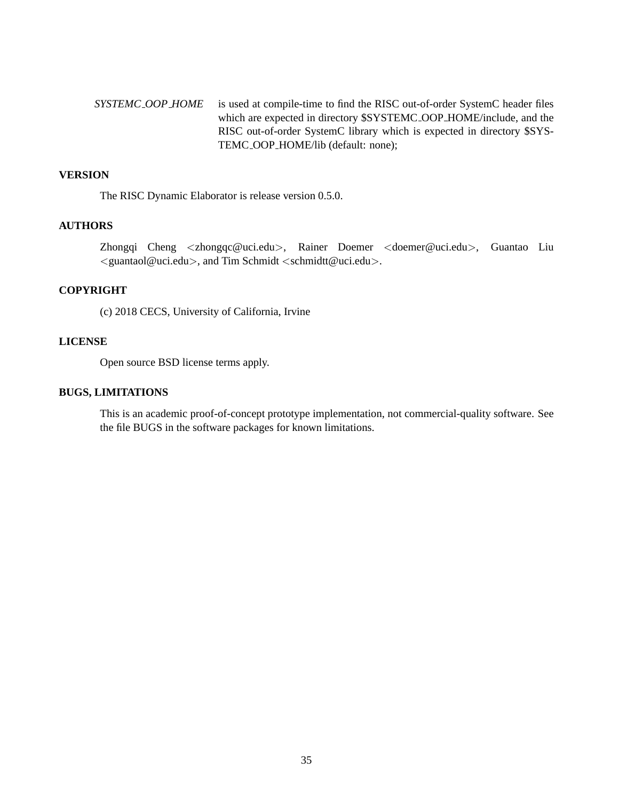*SYSTEMC OOP HOME* is used at compile-time to find the RISC out-of-order SystemC header files which are expected in directory \$SYSTEMC OOP HOME/include, and the RISC out-of-order SystemC library which is expected in directory \$SYS-TEMC OOP HOME/lib (default: none);

### **VERSION**

The RISC Dynamic Elaborator is release version 0.5.0.

## **AUTHORS**

Zhongqi Cheng <zhongqc@uci.edu>, Rainer Doemer <doemer@uci.edu>, Guantao Liu  $\langle$  guantaol@uci.edu $\rangle$ , and Tim Schmidt  $\langle$  schmidtt@uci.edu $\rangle$ .

# **COPYRIGHT**

(c) 2018 CECS, University of California, Irvine

# **LICENSE**

Open source BSD license terms apply.

# **BUGS, LIMITATIONS**

This is an academic proof-of-concept prototype implementation, not commercial-quality software. See the file BUGS in the software packages for known limitations.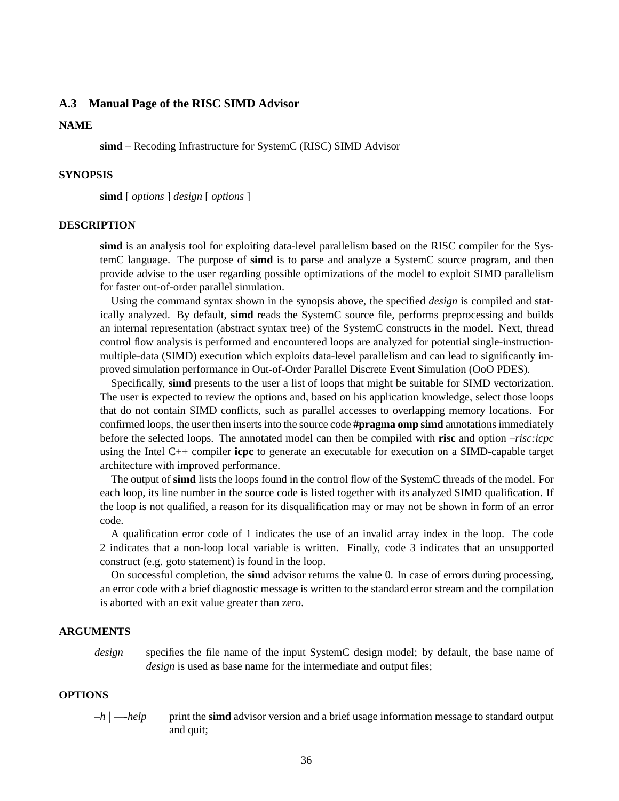#### <span id="page-40-0"></span>**A.3 Manual Page of the RISC SIMD Advisor**

#### **NAME**

**simd** – Recoding Infrastructure for SystemC (RISC) SIMD Advisor

#### **SYNOPSIS**

**simd** [ *options* ] *design* [ *options* ]

#### **DESCRIPTION**

**simd** is an analysis tool for exploiting data-level parallelism based on the RISC compiler for the SystemC language. The purpose of **simd** is to parse and analyze a SystemC source program, and then provide advise to the user regarding possible optimizations of the model to exploit SIMD parallelism for faster out-of-order parallel simulation.

Using the command syntax shown in the synopsis above, the specified *design* is compiled and statically analyzed. By default, **simd** reads the SystemC source file, performs preprocessing and builds an internal representation (abstract syntax tree) of the SystemC constructs in the model. Next, thread control flow analysis is performed and encountered loops are analyzed for potential single-instructionmultiple-data (SIMD) execution which exploits data-level parallelism and can lead to significantly improved simulation performance in Out-of-Order Parallel Discrete Event Simulation (OoO PDES).

Specifically, **simd** presents to the user a list of loops that might be suitable for SIMD vectorization. The user is expected to review the options and, based on his application knowledge, select those loops that do not contain SIMD conflicts, such as parallel accesses to overlapping memory locations. For confirmed loops, the user then inserts into the source code **#pragma omp simd** annotations immediately before the selected loops. The annotated model can then be compiled with **risc** and option *–risc:icpc* using the Intel C++ compiler **icpc** to generate an executable for execution on a SIMD-capable target architecture with improved performance.

The output of **simd** lists the loops found in the control flow of the SystemC threads of the model. For each loop, its line number in the source code is listed together with its analyzed SIMD qualification. If the loop is not qualified, a reason for its disqualification may or may not be shown in form of an error code.

A qualification error code of 1 indicates the use of an invalid array index in the loop. The code 2 indicates that a non-loop local variable is written. Finally, code 3 indicates that an unsupported construct (e.g. goto statement) is found in the loop.

On successful completion, the **simd** advisor returns the value 0. In case of errors during processing, an error code with a brief diagnostic message is written to the standard error stream and the compilation is aborted with an exit value greater than zero.

#### **ARGUMENTS**

*design* specifies the file name of the input SystemC design model; by default, the base name of *design* is used as base name for the intermediate and output files;

## **OPTIONS**

*–h* | *—-help* print the **simd** advisor version and a brief usage information message to standard output and quit;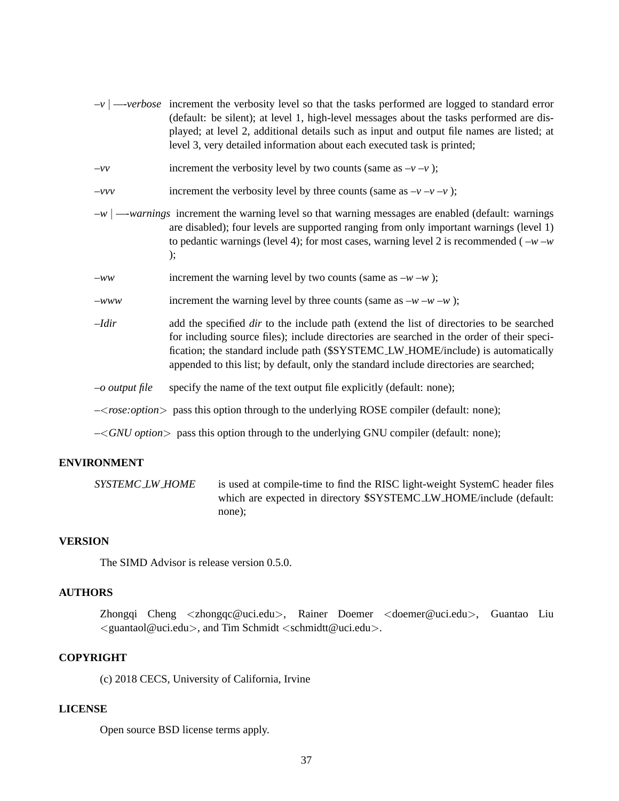| $-v$ $\rightarrow$ verbose increment the verbosity level so that the tasks performed are logged to standard error |
|-------------------------------------------------------------------------------------------------------------------|
| (default: be silent); at level 1, high-level messages about the tasks performed are dis-                          |
| played; at level 2, additional details such as input and output file names are listed; at                         |
|                                                                                                                   |
|                                                                                                                   |

 $-\nu\nu$  increment the verbosity level by two counts (same as  $-\nu - \nu$ );

```
–vvv increment the verbosity level by three counts (same as -v-v);
```
- *–w* | *—-warnings* increment the warning level so that warning messages are enabled (default: warnings are disabled); four levels are supported ranging from only important warnings (level 1) to pedantic warnings (level 4); for most cases, warning level 2 is recommended ( $-w-w$ );
- *–ww* increment the warning level by two counts (same as *–w –w* );
- *–www* increment the warning level by three counts (same as *–w –w –w* );
- *–Idir* add the specified *dir* to the include path (extend the list of directories to be searched for including source files); include directories are searched in the order of their specification; the standard include path (\$SYSTEMC LW HOME/include) is automatically appended to this list; by default, only the standard include directories are searched;
- *–o output file* specify the name of the text output file explicitly (default: none);

*–*<*rose:option*> pass this option through to the underlying ROSE compiler (default: none);

*–*<*GNU option*> pass this option through to the underlying GNU compiler (default: none);

# **ENVIRONMENT**

```
SYSTEMC_LW_HOME is used at compile-time to find the RISC light-weight SystemC header files
                        which are expected in directory $SYSTEMC LW HOME/include (default:
                        none);
```
#### **VERSION**

The SIMD Advisor is release version 0.5.0.

#### **AUTHORS**

Zhongqi Cheng <zhongqc@uci.edu>, Rainer Doemer <doemer@uci.edu>, Guantao Liu  $\le$ guantaol@uci.edu $>$ , and Tim Schmidt $\le$ schmidtt@uci.edu $>$ .

# **COPYRIGHT**

(c) 2018 CECS, University of California, Irvine

## **LICENSE**

Open source BSD license terms apply.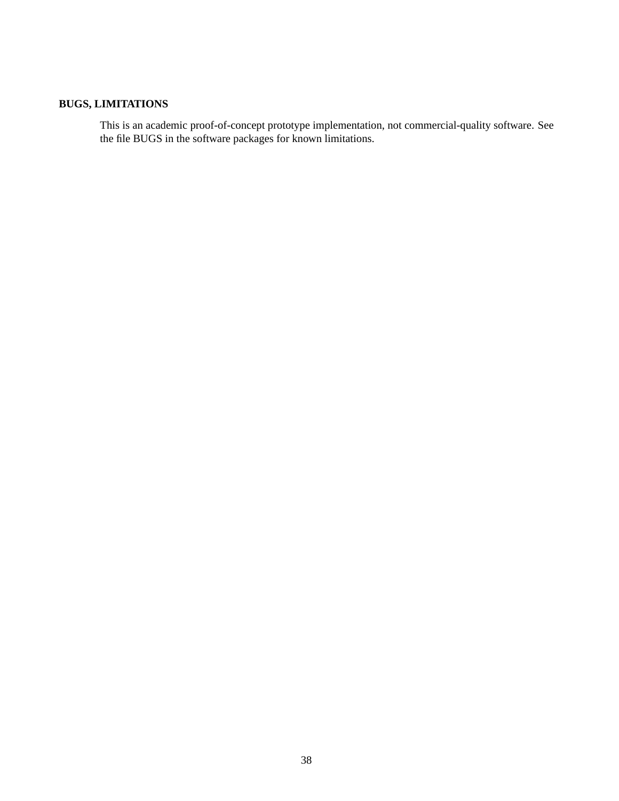# **BUGS, LIMITATIONS**

This is an academic proof-of-concept prototype implementation, not commercial-quality software. See the file BUGS in the software packages for known limitations.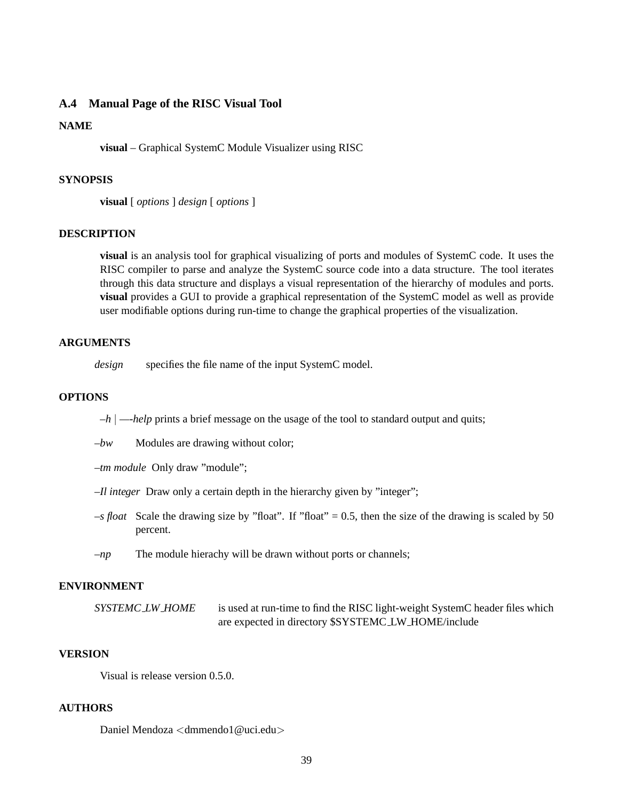#### <span id="page-43-0"></span>**A.4 Manual Page of the RISC Visual Tool**

#### **NAME**

**visual** – Graphical SystemC Module Visualizer using RISC

#### **SYNOPSIS**

**visual** [ *options* ] *design* [ *options* ]

# **DESCRIPTION**

**visual** is an analysis tool for graphical visualizing of ports and modules of SystemC code. It uses the RISC compiler to parse and analyze the SystemC source code into a data structure. The tool iterates through this data structure and displays a visual representation of the hierarchy of modules and ports. **visual** provides a GUI to provide a graphical representation of the SystemC model as well as provide user modifiable options during run-time to change the graphical properties of the visualization.

#### **ARGUMENTS**

*design* specifies the file name of the input SystemC model.

#### **OPTIONS**

*–h* | *—-help* prints a brief message on the usage of the tool to standard output and quits;

*–bw* Modules are drawing without color;

*–tm module* Only draw "module";

- *–Il integer* Draw only a certain depth in the hierarchy given by "integer";
- *–s float* Scale the drawing size by "float". If "float" = 0.5, then the size of the drawing is scaled by 50 percent.
- *–np* The module hierachy will be drawn without ports or channels;

# **ENVIRONMENT**

*SYSTEMC LW HOME* is used at run-time to find the RISC light-weight SystemC header files which are expected in directory \$SYSTEMC LW HOME/include

# **VERSION**

Visual is release version 0.5.0.

#### **AUTHORS**

Daniel Mendoza <dmmendo1@uci.edu>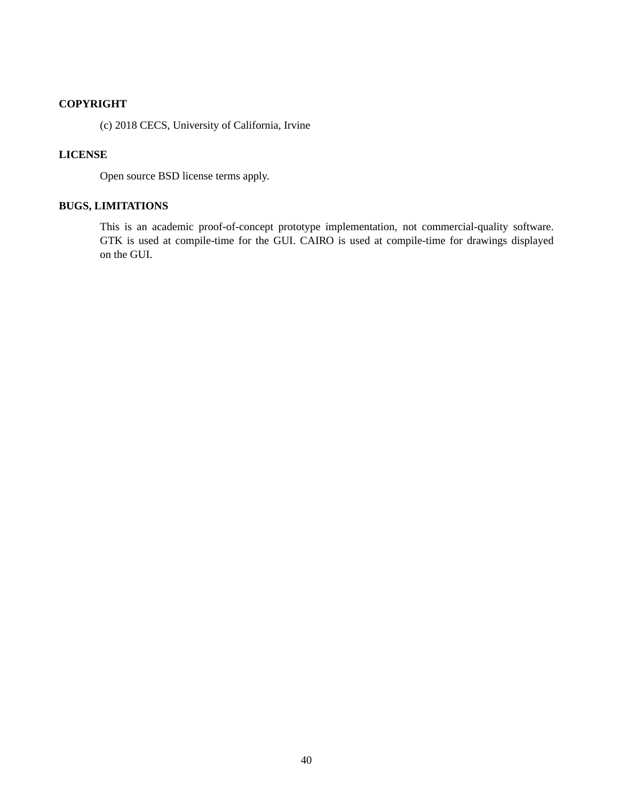# **COPYRIGHT**

(c) 2018 CECS, University of California, Irvine

# **LICENSE**

Open source BSD license terms apply.

# **BUGS, LIMITATIONS**

This is an academic proof-of-concept prototype implementation, not commercial-quality software. GTK is used at compile-time for the GUI. CAIRO is used at compile-time for drawings displayed on the GUI.